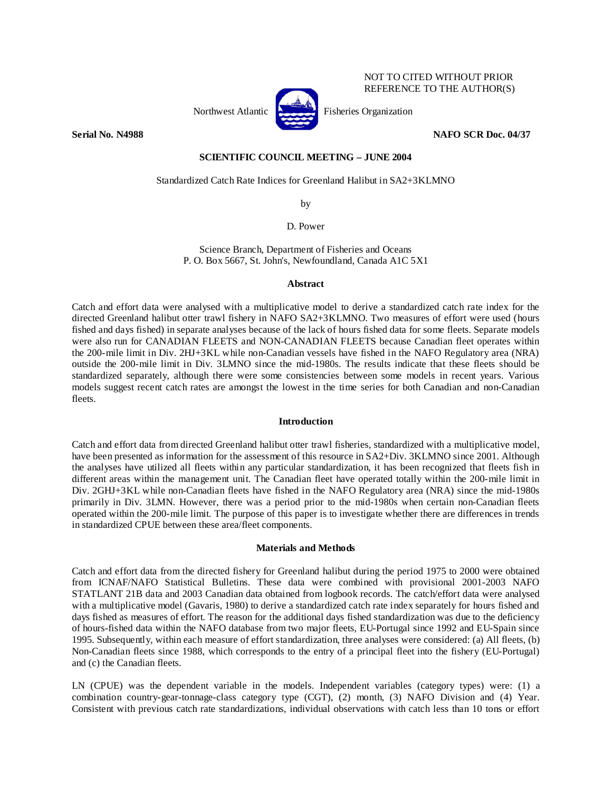

NOT TO CITED WITHOUT PRIOR REFERENCE TO THE AUTHOR(S)

# **Serial No. N4988 NAFO SCR Doc. 04/37**

# **SCIENTIFIC COUNCIL MEETING – JUNE 2004**

Standardized Catch Rate Indices for Greenland Halibut in SA2+3KLMNO

by

D. Power

Science Branch, Department of Fisheries and Oceans P. O. Box 5667, St. John's, Newfoundland, Canada A1C 5X1

### **Abstract**

Catch and effort data were analysed with a multiplicative model to derive a standardized catch rate index for the directed Greenland halibut otter trawl fishery in NAFO SA2+3KLMNO. Two measures of effort were used (hours fished and days fished) in separate analyses because of the lack of hours fished data for some fleets. Separate models were also run for CANADIAN FLEETS and NON-CANADIAN FLEETS because Canadian fleet operates within the 200-mile limit in Div. 2HJ+3KL while non-Canadian vessels have fished in the NAFO Regulatory area (NRA) outside the 200-mile limit in Div. 3LMNO since the mid-1980s. The results indicate that these fleets should be standardized separately, although there were some consistencies between some models in recent years. Various models suggest recent catch rates are amongst the lowest in the time series for both Canadian and non-Canadian fleets.

# **Introduction**

Catch and effort data from directed Greenland halibut otter trawl fisheries, standardized with a multiplicative model, have been presented as information for the assessment of this resource in SA2+Div. 3KLMNO since 2001. Although the analyses have utilized all fleets within any particular standardization, it has been recognized that fleets fish in different areas within the management unit. The Canadian fleet have operated totally within the 200-mile limit in Div. 2GHJ+3KL while non-Canadian fleets have fished in the NAFO Regulatory area (NRA) since the mid-1980s primarily in Div. 3LMN. However, there was a period prior to the mid-1980s when certain non-Canadian fleets operated within the 200-mile limit. The purpose of this paper is to investigate whether there are differences in trends in standardized CPUE between these area/fleet components.

### **Materials and Methods**

Catch and effort data from the directed fishery for Greenland halibut during the period 1975 to 2000 were obtained from ICNAF/NAFO Statistical Bulletins. These data were combined with provisional 2001-2003 NAFO STATLANT 21B data and 2003 Canadian data obtained from logbook records. The catch/effort data were analysed with a multiplicative model (Gavaris, 1980) to derive a standardized catch rate index separately for hours fished and days fished as measures of effort. The reason for the additional days fished standardization was due to the deficiency of hours-fished data within the NAFO database from two major fleets, EU-Portugal since 1992 and EU-Spain since 1995. Subsequently, within each measure of effort standardization, three analyses were considered: (a) All fleets, (b) Non-Canadian fleets since 1988, which corresponds to the entry of a principal fleet into the fishery (EU-Portugal) and (c) the Canadian fleets.

LN (CPUE) was the dependent variable in the models. Independent variables (category types) were: (1) a combination country-gear-tonnage-class category type (CGT), (2) month, (3) NAFO Division and (4) Year. Consistent with previous catch rate standardizations, individual observations with catch less than 10 tons or effort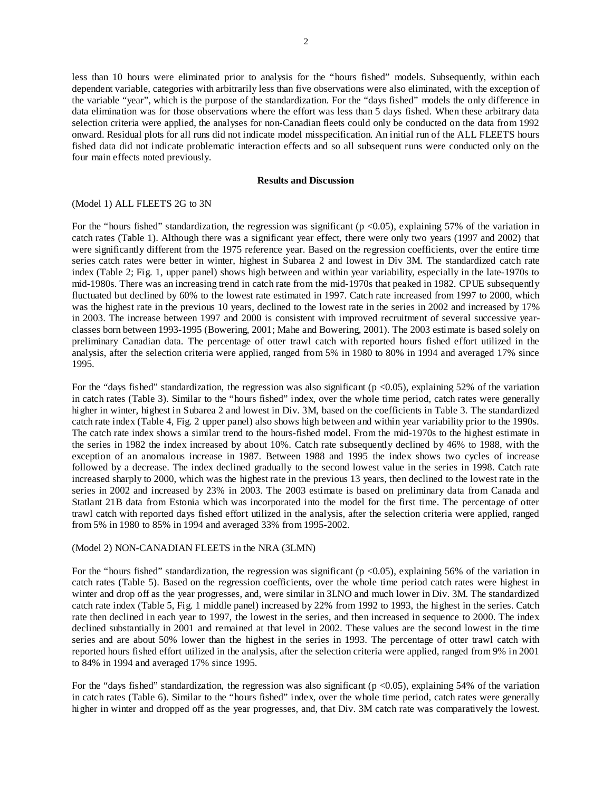less than 10 hours were eliminated prior to analysis for the "hours fished" models. Subsequently, within each dependent variable, categories with arbitrarily less than five observations were also eliminated, with the exception of the variable "year", which is the purpose of the standardization. For the "days fished" models the only difference in data elimination was for those observations where the effort was less than 5 days fished. When these arbitrary data selection criteria were applied, the analyses for non-Canadian fleets could only be conducted on the data from 1992 onward. Residual plots for all runs did not indicate model misspecification. An initial run of the ALL FLEETS hours fished data did not indicate problematic interaction effects and so all subsequent runs were conducted only on the four main effects noted previously.

# **Results and Discussion**

# (Model 1) ALL FLEETS 2G to 3N

For the "hours fished" standardization, the regression was significant ( $p < 0.05$ ), explaining 57% of the variation in catch rates (Table 1). Although there was a significant year effect, there were only two years (1997 and 2002) that were significantly different from the 1975 reference year. Based on the regression coefficients, over the entire time series catch rates were better in winter, highest in Subarea 2 and lowest in Div 3M. The standardized catch rate index (Table 2; Fig. 1, upper panel) shows high between and within year variability, especially in the late-1970s to mid-1980s. There was an increasing trend in catch rate from the mid-1970s that peaked in 1982. CPUE subsequently fluctuated but declined by 60% to the lowest rate estimated in 1997. Catch rate increased from 1997 to 2000, which was the highest rate in the previous 10 years, declined to the lowest rate in the series in 2002 and increased by 17% in 2003. The increase between 1997 and 2000 is consistent with improved recruitment of several successive yearclasses born between 1993-1995 (Bowering, 2001; Mahe and Bowering, 2001). The 2003 estimate is based solely on preliminary Canadian data. The percentage of otter trawl catch with reported hours fished effort utilized in the analysis, after the selection criteria were applied, ranged from 5% in 1980 to 80% in 1994 and averaged 17% since 1995.

For the "days fished" standardization, the regression was also significant ( $p < 0.05$ ), explaining 52% of the variation in catch rates (Table 3). Similar to the "hours fished" index, over the whole time period, catch rates were generally higher in winter, highest in Subarea 2 and lowest in Div. 3M, based on the coefficients in Table 3. The standardized catch rate index (Table 4, Fig. 2 upper panel) also shows high between and within year variability prior to the 1990s. The catch rate index shows a similar trend to the hours-fished model. From the mid-1970s to the highest estimate in the series in 1982 the index increased by about 10%. Catch rate subsequently declined by 46% to 1988, with the exception of an anomalous increase in 1987. Between 1988 and 1995 the index shows two cycles of increase followed by a decrease. The index declined gradually to the second lowest value in the series in 1998. Catch rate increased sharply to 2000, which was the highest rate in the previous 13 years, then declined to the lowest rate in the series in 2002 and increased by 23% in 2003. The 2003 estimate is based on preliminary data from Canada and Statlant 21B data from Estonia which was incorporated into the model for the first time. The percentage of otter trawl catch with reported days fished effort utilized in the analysis, after the selection criteria were applied, ranged from 5% in 1980 to 85% in 1994 and averaged 33% from 1995-2002.

### (Model 2) NON-CANADIAN FLEETS in the NRA (3LMN)

For the "hours fished" standardization, the regression was significant ( $p < 0.05$ ), explaining 56% of the variation in catch rates (Table 5). Based on the regression coefficients, over the whole time period catch rates were highest in winter and drop off as the year progresses, and, were similar in 3LNO and much lower in Div. 3M. The standardized catch rate index (Table 5, Fig. 1 middle panel) increased by 22% from 1992 to 1993, the highest in the series. Catch rate then declined in each year to 1997, the lowest in the series, and then increased in sequence to 2000. The index declined substantially in 2001 and remained at that level in 2002. These values are the second lowest in the time series and are about 50% lower than the highest in the series in 1993. The percentage of otter trawl catch with reported hours fished effort utilized in the analysis, after the selection criteria were applied, ranged from 9% in 2001 to 84% in 1994 and averaged 17% since 1995.

For the "days fished" standardization, the regression was also significant ( $p < 0.05$ ), explaining 54% of the variation in catch rates (Table 6). Similar to the "hours fished" index, over the whole time period, catch rates were generally higher in winter and dropped off as the year progresses, and, that Div. 3M catch rate was comparatively the lowest.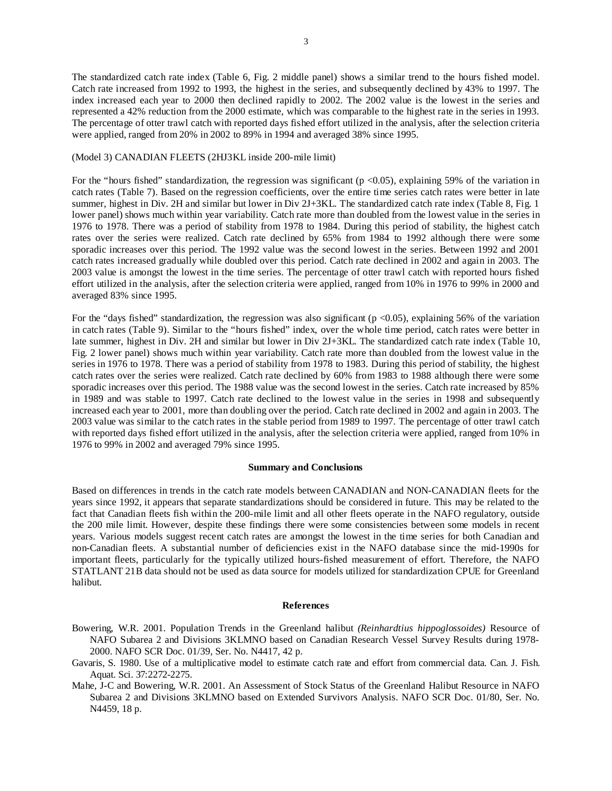The standardized catch rate index (Table 6, Fig. 2 middle panel) shows a similar trend to the hours fished model. Catch rate increased from 1992 to 1993, the highest in the series, and subsequently declined by 43% to 1997. The index increased each year to 2000 then declined rapidly to 2002. The 2002 value is the lowest in the series and represented a 42% reduction from the 2000 estimate, which was comparable to the highest rate in the series in 1993. The percentage of otter trawl catch with reported days fished effort utilized in the analysis, after the selection criteria were applied, ranged from 20% in 2002 to 89% in 1994 and averaged 38% since 1995.

#### (Model 3) CANADIAN FLEETS (2HJ3KL inside 200-mile limit)

For the "hours fished" standardization, the regression was significant ( $p < 0.05$ ), explaining 59% of the variation in catch rates (Table 7). Based on the regression coefficients, over the entire time series catch rates were better in late summer, highest in Div. 2H and similar but lower in Div 2J+3KL. The standardized catch rate index (Table 8, Fig. 1 lower panel) shows much within year variability. Catch rate more than doubled from the lowest value in the series in 1976 to 1978. There was a period of stability from 1978 to 1984. During this period of stability, the highest catch rates over the series were realized. Catch rate declined by 65% from 1984 to 1992 although there were some sporadic increases over this period. The 1992 value was the second lowest in the series. Between 1992 and 2001 catch rates increased gradually while doubled over this period. Catch rate declined in 2002 and again in 2003. The 2003 value is amongst the lowest in the time series. The percentage of otter trawl catch with reported hours fished effort utilized in the analysis, after the selection criteria were applied, ranged from 10% in 1976 to 99% in 2000 and averaged 83% since 1995.

For the "days fished" standardization, the regression was also significant ( $p < 0.05$ ), explaining 56% of the variation in catch rates (Table 9). Similar to the "hours fished" index, over the whole time period, catch rates were better in late summer, highest in Div. 2H and similar but lower in Div 2J+3KL. The standardized catch rate index (Table 10, Fig. 2 lower panel) shows much within year variability. Catch rate more than doubled from the lowest value in the series in 1976 to 1978. There was a period of stability from 1978 to 1983. During this period of stability, the highest catch rates over the series were realized. Catch rate declined by 60% from 1983 to 1988 although there were some sporadic increases over this period. The 1988 value was the second lowest in the series. Catch rate increased by 85% in 1989 and was stable to 1997. Catch rate declined to the lowest value in the series in 1998 and subsequently increased each year to 2001, more than doubling over the period. Catch rate declined in 2002 and again in 2003. The 2003 value was similar to the catch rates in the stable period from 1989 to 1997. The percentage of otter trawl catch with reported days fished effort utilized in the analysis, after the selection criteria were applied, ranged from 10% in 1976 to 99% in 2002 and averaged 79% since 1995.

#### **Summary and Conclusions**

Based on differences in trends in the catch rate models between CANADIAN and NON-CANADIAN fleets for the years since 1992, it appears that separate standardizations should be considered in future. This may be related to the fact that Canadian fleets fish within the 200-mile limit and all other fleets operate in the NAFO regulatory, outside the 200 mile limit. However, despite these findings there were some consistencies between some models in recent years. Various models suggest recent catch rates are amongst the lowest in the time series for both Canadian and non-Canadian fleets. A substantial number of deficiencies exist in the NAFO database since the mid-1990s for important fleets, particularly for the typically utilized hours-fished measurement of effort. Therefore, the NAFO STATLANT 21B data should not be used as data source for models utilized for standardization CPUE for Greenland halibut.

#### **References**

- Bowering, W.R. 2001. Population Trends in the Greenland halibut *(Reinhardtius hippoglossoides)* Resource of NAFO Subarea 2 and Divisions 3KLMNO based on Canadian Research Vessel Survey Results during 1978- 2000. NAFO SCR Doc. 01/39, Ser. No. N4417, 42 p.
- Gavaris, S. 1980. Use of a multiplicative model to estimate catch rate and effort from commercial data. Can. J. Fish. Aquat. Sci. 37:2272-2275.
- Mahe, J-C and Bowering, W.R. 2001. An Assessment of Stock Status of the Greenland Halibut Resource in NAFO Subarea 2 and Divisions 3KLMNO based on Extended Survivors Analysis. NAFO SCR Doc. 01/80, Ser. No. N4459, 18 p.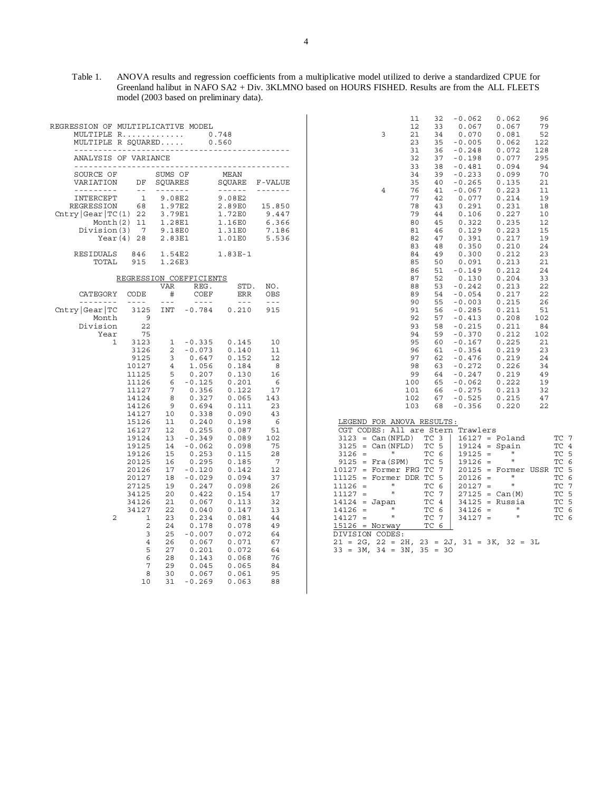Table 1. ANOVA results and regression coefficients from a multiplicative model utilized to derive a standardized CPUE for Greenland halibut in NAFO SA2 + Div. 3KLMNO based on HOURS FISHED. Results are from the ALL FLEETS model (2003 based on preliminary data).

| REGRESSION OF MULTIPLICATIVE MODEL<br>MULTIPLE R<br>MULTIPLE R SOUARED                                                       |                                                                                                                                                                                                                                               |                                                                                                                                                                               |                                                                                                                                                                                                                                                                                                                | 0.748<br>0.560<br>---------------------------                                                                                                                                                                                                                                                                                                                                                                                                                                                |                                                                                                                                                                                        |
|------------------------------------------------------------------------------------------------------------------------------|-----------------------------------------------------------------------------------------------------------------------------------------------------------------------------------------------------------------------------------------------|-------------------------------------------------------------------------------------------------------------------------------------------------------------------------------|----------------------------------------------------------------------------------------------------------------------------------------------------------------------------------------------------------------------------------------------------------------------------------------------------------------|----------------------------------------------------------------------------------------------------------------------------------------------------------------------------------------------------------------------------------------------------------------------------------------------------------------------------------------------------------------------------------------------------------------------------------------------------------------------------------------------|----------------------------------------------------------------------------------------------------------------------------------------------------------------------------------------|
| -----------------<br>ANALYSIS OF VARIANCE<br>.                                                                               |                                                                                                                                                                                                                                               |                                                                                                                                                                               |                                                                                                                                                                                                                                                                                                                |                                                                                                                                                                                                                                                                                                                                                                                                                                                                                              |                                                                                                                                                                                        |
| SOURCE OF<br>VARIATION<br>-------                                                                                            | DF<br>$ -$                                                                                                                                                                                                                                    | SUMS OF<br>SOUARES<br>-------                                                                                                                                                 |                                                                                                                                                                                                                                                                                                                | MEAN<br>SOUARE<br>$\frac{1}{2} \left( \frac{1}{2} \right) \left( \frac{1}{2} \right) \left( \frac{1}{2} \right) \left( \frac{1}{2} \right) \left( \frac{1}{2} \right) \left( \frac{1}{2} \right) \left( \frac{1}{2} \right) \left( \frac{1}{2} \right) \left( \frac{1}{2} \right) \left( \frac{1}{2} \right) \left( \frac{1}{2} \right) \left( \frac{1}{2} \right) \left( \frac{1}{2} \right) \left( \frac{1}{2} \right) \left( \frac{1}{2} \right) \left( \frac{1}{2} \right) \left( \frac$ | F-VALUE                                                                                                                                                                                |
| INTERCEPT<br><b>REGRESSION</b><br>$\texttt{Chtry} \texttt{Gear} \texttt{TC(1)} $<br>Month $(2)$<br>Division(3)<br>Year $(4)$ | $\mathbf{1}$<br>68<br>22<br>11<br>$7\phantom{.0}$<br>28                                                                                                                                                                                       | 9.08E2<br>1.97E2<br>3.79E1<br>1.28E1<br>9.18E0<br>2.83E1                                                                                                                      |                                                                                                                                                                                                                                                                                                                | 9.08E2<br>2.89E0<br>1.72E0<br>1.16E0<br>1.31E0<br>1.01E0                                                                                                                                                                                                                                                                                                                                                                                                                                     | 15.850<br>9.447<br>6.366<br>7.186<br>5.536                                                                                                                                             |
| RESIDUALS<br>TOTAL                                                                                                           | 846<br>915                                                                                                                                                                                                                                    | 1.54E2<br>1.26E3                                                                                                                                                              |                                                                                                                                                                                                                                                                                                                | $1.83E-1$                                                                                                                                                                                                                                                                                                                                                                                                                                                                                    |                                                                                                                                                                                        |
|                                                                                                                              |                                                                                                                                                                                                                                               |                                                                                                                                                                               | REGRESSION COEFFICIENTS                                                                                                                                                                                                                                                                                        |                                                                                                                                                                                                                                                                                                                                                                                                                                                                                              |                                                                                                                                                                                        |
| CATEGORY<br>--------                                                                                                         | CODE<br>$-- - -$                                                                                                                                                                                                                              | VAR<br>#<br>$- - -$                                                                                                                                                           | REG.<br>COEF<br>$- - - -$                                                                                                                                                                                                                                                                                      | STD.<br>ERR<br>$- - -$                                                                                                                                                                                                                                                                                                                                                                                                                                                                       | NO.<br>OBS<br>$- - -$                                                                                                                                                                  |
| Chtry Gear TC<br>Month<br>Division<br>Year                                                                                   | 3125<br>9<br>22<br>75                                                                                                                                                                                                                         | INT                                                                                                                                                                           | $-0.784$                                                                                                                                                                                                                                                                                                       | 0.210                                                                                                                                                                                                                                                                                                                                                                                                                                                                                        | 915                                                                                                                                                                                    |
| 1<br>2                                                                                                                       | 3123<br>3126<br>9125<br>10127<br>11125<br>11126<br>11127<br>14124<br>14126<br>14127<br>15126<br>16127<br>19124<br>19125<br>19126<br>20125<br>20126<br>20127<br>27125<br>34125<br>34126<br>34127<br>1<br>2<br>3<br>4<br>5<br>6<br>7<br>8<br>10 | 1<br>2<br>3<br>4<br>5<br>6<br>7<br>8<br>9<br>10<br>11<br>12<br>13<br>14<br>15<br>16<br>17<br>18<br>19<br>20<br>21<br>22<br>23<br>24<br>25<br>26<br>27<br>28<br>29<br>30<br>31 | $-0.335$<br>$-0.073$<br>0.647<br>1.056<br>0.207<br>$-0.125$<br>0.356<br>0.327<br>0.694<br>0.338<br>0.240<br>0.255<br>$-0.349$<br>$-0.062$<br>0.253<br>0.295<br>$-0.120$<br>$-0.029$<br>0.247<br>0.422<br>0.067<br>0.040<br>0.234<br>0.178<br>$-0.007$<br>0.067<br>0.201<br>0.143<br>0.045<br>0.067<br>$-0.269$ | 0.145<br>0.140<br>0.152<br>0.184<br>0.130<br>0.201<br>0.122<br>0.065<br>0.111<br>0.090<br>0.198<br>0.087<br>0.089<br>0.098<br>0.115<br>0.185<br>0.142<br>0.094<br>0.098<br>0.154<br>0.113<br>0.147<br>0.081<br>0.078<br>0.072<br>0.071<br>0.072<br>0.068<br>0.065<br>0.061<br>0.063                                                                                                                                                                                                          | 10<br>11<br>12<br>- 8<br>16<br>6<br>17<br>143<br>23<br>43<br>6<br>51<br>102<br>75<br>28<br>7<br>12<br>37<br>26<br>17<br>32<br>13<br>44<br>49<br>64<br>67<br>64<br>76<br>84<br>95<br>88 |

| 3                                                                                                                                                                                                                                                                                                                                                                                                                                                                                               | 11<br>32<br>12<br>33<br>21<br>34<br>23<br>35<br>31<br>36<br>32<br>37<br>33<br>38<br>34<br>39                                                                                                                                                                                                                                                                 | $-0.062$<br>0.067<br>0.070<br>$-0.005$<br>$-0.248$<br>$-0.198$<br>$-0.481$<br>$-0.233$                                                                                                                                                                                                                               | 0.062<br>0.067<br>0.081<br>0.062<br>0.072<br>0.077<br>0.094<br>0.099                                                                                                                                                                                              | 96<br>79<br>52<br>122<br>128<br>295<br>94<br>70                                                                                                                              |                                                                                                                       |
|-------------------------------------------------------------------------------------------------------------------------------------------------------------------------------------------------------------------------------------------------------------------------------------------------------------------------------------------------------------------------------------------------------------------------------------------------------------------------------------------------|--------------------------------------------------------------------------------------------------------------------------------------------------------------------------------------------------------------------------------------------------------------------------------------------------------------------------------------------------------------|----------------------------------------------------------------------------------------------------------------------------------------------------------------------------------------------------------------------------------------------------------------------------------------------------------------------|-------------------------------------------------------------------------------------------------------------------------------------------------------------------------------------------------------------------------------------------------------------------|------------------------------------------------------------------------------------------------------------------------------------------------------------------------------|-----------------------------------------------------------------------------------------------------------------------|
| 4                                                                                                                                                                                                                                                                                                                                                                                                                                                                                               | 35<br>40<br>76<br>41<br>77<br>42<br>43<br>78<br>79<br>44<br>45<br>80<br>81<br>46<br>82<br>47<br>48<br>83<br>84<br>49<br>85<br>50<br>51<br>86<br>87<br>52<br>53<br>88<br>89<br>54<br>90<br>55<br>91<br>56<br>92<br>57<br>93<br>58<br>94<br>59<br>95<br>60<br>96<br>61<br>97<br>62<br>98<br>63<br>99<br>64<br>100<br>65<br>101<br>66<br>102<br>67<br>103<br>68 | $-0.265$<br>$-0.067$<br>0.077<br>0.291<br>0.106<br>0.322<br>0.129<br>0.391<br>0.350<br>0.300<br>0.091<br>-0.149<br>0.130<br>$-0.242$<br>$-0.054$<br>$-0.003$<br>$-0.285$<br>-0.413<br>-0.215<br>$-0.370$<br>$-0.167$<br>$-0.354$<br>$-0.476$<br>$-0.272$<br>$-0.247$<br>$-0.062$<br>$-0.275$<br>$-0.525$<br>$-0.356$ | 0.135<br>0.223<br>0.214<br>0.231<br>0.227<br>0.235<br>0.223<br>0.217<br>0.210<br>0.212<br>0.213<br>0.212<br>0.204<br>0.213<br>0.217<br>0.215<br>0.211<br>0.208<br>0.211<br>0.212<br>0.225<br>0.219<br>0.219<br>0.226<br>0.219<br>0.222<br>0.213<br>0.215<br>0.220 | 21<br>11<br>19<br>18<br>10<br>12<br>15<br>19<br>24<br>23<br>21<br>24<br>33<br>22<br>22<br>26<br>51<br>102<br>84<br>102<br>21<br>23<br>24<br>34<br>49<br>19<br>32<br>47<br>22 |                                                                                                                       |
| LEGEND FOR ANOVA RESULTS:<br>CGT CODES:<br>Can (NFLD)<br>3123<br>$=$<br>3125<br>Can (NFLD)<br>$=$<br>П<br>3126<br>$\equiv$<br>9125<br>Fra (SPM)<br>$\quad =$<br>10127<br>Former<br>$\quad =$<br>11125<br>Former<br>$=$<br>$\mathbf{u}$<br>11126<br>$=$<br>H<br>11127<br>$=$<br>14124<br>Japan<br>$=$<br>$\mathbf{u}$<br>14126<br>$=$<br>Ħ<br>14127<br>$=$<br>15126<br>= Norway<br>DIVISION<br>CODES:<br>21<br>2G,<br>22<br>$\equiv$<br>2H,<br>$=$<br>33<br>3M,<br>34<br>3N,<br>$\quad =$<br>$=$ | All are Stern<br>3<br>TС<br>ТC<br>5<br>ТC<br>6<br>5<br>ТC<br>7<br>ТC<br>FRG<br>ТC<br>5<br>DDR<br>ТC<br>6<br>ТC<br>7<br>ТC<br>4<br>ТC<br>6<br>ТC<br>7<br>ТC<br>6<br>23<br>$=2J,$<br>35<br>30<br>$\quad =$                                                                                                                                                     | Trawlers<br>16127<br>$=$<br>19124<br>$=$<br>19125<br>$=$<br>19126<br>$=$<br>20125<br>$=$<br>20126<br>$=$<br>20127<br>$=$<br>27125<br>$=$<br>34125<br>$\quad =$<br>34126<br>$=$<br>34127<br>$=$<br>$31 = 3K$ ,                                                                                                        | Poland<br>Spain<br>П<br>Ţ.<br>Former<br>П<br>H<br>Can(M)<br>Russia<br>$\mathbf{H}$<br>$\mathbf{H}$<br>$32 =$                                                                                                                                                      | USSR<br>ЗL                                                                                                                                                                   | TС<br>7<br>ТC<br>4<br>TC<br>5<br>ТC<br>6<br>ТC<br>5<br>TC<br>6<br>7<br>TС<br>ТC<br>5<br>TC<br>5<br>TС<br>6<br>ТC<br>6 |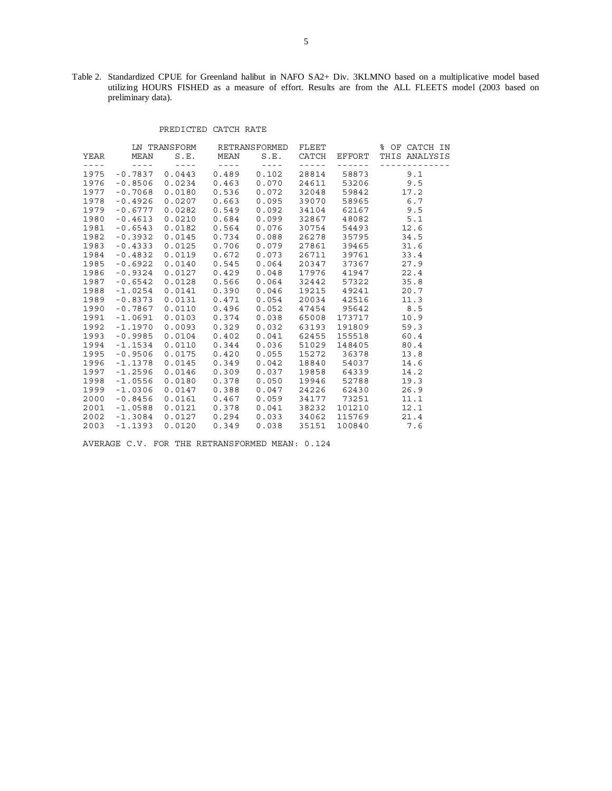Table 2. Standardized CPUE for Greenland halibut in NAFO SA2+ Div. 3KLMNO based on a multiplicative model based utilizing HOURS FISHED as a measure of effort. Results are from the ALL FLEETS model (2003 based on preliminary data).

#### PREDICTED CATCH RATE

|                                                                                                                                                                                                                                                                                                                                                                                              |                                                                                                 | LN TRANSFORM RETRANSFORMED |                                                                                     |                                | FLEET                                                                                                                                                                                                                                                                                                                                                                                                                                                                      |                                                                                                                                                                                                                                                                                                                                                                                                                                                                            | % OF CATCH IN               |
|----------------------------------------------------------------------------------------------------------------------------------------------------------------------------------------------------------------------------------------------------------------------------------------------------------------------------------------------------------------------------------------------|-------------------------------------------------------------------------------------------------|----------------------------|-------------------------------------------------------------------------------------|--------------------------------|----------------------------------------------------------------------------------------------------------------------------------------------------------------------------------------------------------------------------------------------------------------------------------------------------------------------------------------------------------------------------------------------------------------------------------------------------------------------------|----------------------------------------------------------------------------------------------------------------------------------------------------------------------------------------------------------------------------------------------------------------------------------------------------------------------------------------------------------------------------------------------------------------------------------------------------------------------------|-----------------------------|
|                                                                                                                                                                                                                                                                                                                                                                                              | YEAR MEAN                                                                                       |                            | S.E. MEAN                                                                           | S.E.                           |                                                                                                                                                                                                                                                                                                                                                                                                                                                                            |                                                                                                                                                                                                                                                                                                                                                                                                                                                                            | CATCH EFFORT THIS ANALYSIS  |
| $\frac{1}{2} \frac{1}{2} \frac{1}{2} \frac{1}{2} \frac{1}{2} \frac{1}{2} \frac{1}{2} \frac{1}{2} \frac{1}{2} \frac{1}{2} \frac{1}{2} \frac{1}{2} \frac{1}{2} \frac{1}{2} \frac{1}{2} \frac{1}{2} \frac{1}{2} \frac{1}{2} \frac{1}{2} \frac{1}{2} \frac{1}{2} \frac{1}{2} \frac{1}{2} \frac{1}{2} \frac{1}{2} \frac{1}{2} \frac{1}{2} \frac{1}{2} \frac{1}{2} \frac{1}{2} \frac{1}{2} \frac{$ | $\label{eq:2.1} \mathcal{L}(\mathcal{L}) = \mathcal{L}(\mathcal{L}) = \mathcal{L}(\mathcal{L})$ | $    -$                    | $\mathcal{L}^{\mathcal{L}} = \mathcal{L}^{\mathcal{L}} = \mathcal{L}^{\mathcal{L}}$ | $\alpha$ and a set of $\alpha$ | $\frac{1}{2} \left( \frac{1}{2} \right) \left( \frac{1}{2} \right) \left( \frac{1}{2} \right) \left( \frac{1}{2} \right) \left( \frac{1}{2} \right) \left( \frac{1}{2} \right) \left( \frac{1}{2} \right) \left( \frac{1}{2} \right) \left( \frac{1}{2} \right) \left( \frac{1}{2} \right) \left( \frac{1}{2} \right) \left( \frac{1}{2} \right) \left( \frac{1}{2} \right) \left( \frac{1}{2} \right) \left( \frac{1}{2} \right) \left( \frac{1}{2} \right) \left( \frac$ | $\frac{1}{2} \left( \frac{1}{2} \right) \left( \frac{1}{2} \right) \left( \frac{1}{2} \right) \left( \frac{1}{2} \right) \left( \frac{1}{2} \right) \left( \frac{1}{2} \right) \left( \frac{1}{2} \right) \left( \frac{1}{2} \right) \left( \frac{1}{2} \right) \left( \frac{1}{2} \right) \left( \frac{1}{2} \right) \left( \frac{1}{2} \right) \left( \frac{1}{2} \right) \left( \frac{1}{2} \right) \left( \frac{1}{2} \right) \left( \frac{1}{2} \right) \left( \frac$ | <u> - - - - - - - - - -</u> |
| 1975                                                                                                                                                                                                                                                                                                                                                                                         | $-0.7837$                                                                                       |                            | $0.0443$ 0.489                                                                      | 0.102                          | 28814                                                                                                                                                                                                                                                                                                                                                                                                                                                                      | 58873                                                                                                                                                                                                                                                                                                                                                                                                                                                                      | 9.1                         |
| 1976                                                                                                                                                                                                                                                                                                                                                                                         | $-0.8506$                                                                                       | $0.0234$ $0.463$           |                                                                                     | 0.070                          |                                                                                                                                                                                                                                                                                                                                                                                                                                                                            |                                                                                                                                                                                                                                                                                                                                                                                                                                                                            | 24611 53206 9.5             |
| 1977                                                                                                                                                                                                                                                                                                                                                                                         | $-0.7068$                                                                                       | 0.0180                     | 0.536                                                                               | 0.072                          | 32048                                                                                                                                                                                                                                                                                                                                                                                                                                                                      | 59842                                                                                                                                                                                                                                                                                                                                                                                                                                                                      | 17.2                        |
| 1978                                                                                                                                                                                                                                                                                                                                                                                         | $-0.4926$                                                                                       | $0.0207$ 0.663             |                                                                                     | 0.095                          | 39070                                                                                                                                                                                                                                                                                                                                                                                                                                                                      |                                                                                                                                                                                                                                                                                                                                                                                                                                                                            | 58965 6.7                   |
| 1979                                                                                                                                                                                                                                                                                                                                                                                         | $-0.6777$                                                                                       |                            | $0.0282$ $0.549$ $0.092$                                                            |                                |                                                                                                                                                                                                                                                                                                                                                                                                                                                                            |                                                                                                                                                                                                                                                                                                                                                                                                                                                                            | 34104 62167 9.5             |
| 1980                                                                                                                                                                                                                                                                                                                                                                                         | $-0.4613$                                                                                       | $0.0210$ $0.684$           |                                                                                     | 0.099                          |                                                                                                                                                                                                                                                                                                                                                                                                                                                                            | 32867 48082                                                                                                                                                                                                                                                                                                                                                                                                                                                                | 5.1                         |
| 1981                                                                                                                                                                                                                                                                                                                                                                                         | $-0.6543$                                                                                       | $0.0182$ $0.564$           |                                                                                     | 0.076                          | 30754                                                                                                                                                                                                                                                                                                                                                                                                                                                                      | 54493                                                                                                                                                                                                                                                                                                                                                                                                                                                                      | 12.6                        |
| 1982                                                                                                                                                                                                                                                                                                                                                                                         | $-0.3932$                                                                                       | $0.0145$ 0.734             |                                                                                     | 0.088                          | 26278                                                                                                                                                                                                                                                                                                                                                                                                                                                                      | 35795                                                                                                                                                                                                                                                                                                                                                                                                                                                                      | 34.5                        |
| 1983                                                                                                                                                                                                                                                                                                                                                                                         | $-0.4333$                                                                                       | $0.0125$ 0.706             |                                                                                     | 0.079                          | 27861                                                                                                                                                                                                                                                                                                                                                                                                                                                                      | 39465                                                                                                                                                                                                                                                                                                                                                                                                                                                                      | 31.6                        |
| 1984                                                                                                                                                                                                                                                                                                                                                                                         | $-0.4832$                                                                                       |                            | $0.0119$ $0.672$                                                                    | 0.073                          | 26711                                                                                                                                                                                                                                                                                                                                                                                                                                                                      |                                                                                                                                                                                                                                                                                                                                                                                                                                                                            | 39761 33.4                  |
| 1985                                                                                                                                                                                                                                                                                                                                                                                         | $-0.6922$                                                                                       | $0.0140$ $0.545$           |                                                                                     | 0.064                          |                                                                                                                                                                                                                                                                                                                                                                                                                                                                            | 20347 37367                                                                                                                                                                                                                                                                                                                                                                                                                                                                | 27.9                        |
| 1986                                                                                                                                                                                                                                                                                                                                                                                         | $-0.9324$                                                                                       |                            | $0.0127$ $0.429$                                                                    | 0.048                          |                                                                                                                                                                                                                                                                                                                                                                                                                                                                            | 17976 41947                                                                                                                                                                                                                                                                                                                                                                                                                                                                | 22.4                        |
| 1987                                                                                                                                                                                                                                                                                                                                                                                         | $-0.6542$                                                                                       | $0.0128$ 0.566             |                                                                                     | 0.064                          |                                                                                                                                                                                                                                                                                                                                                                                                                                                                            | 32442 57322                                                                                                                                                                                                                                                                                                                                                                                                                                                                | 35.8                        |
| 1988                                                                                                                                                                                                                                                                                                                                                                                         | $-1.0254$                                                                                       | 0.0141                     | 0.390                                                                               | 0.046                          | 19215                                                                                                                                                                                                                                                                                                                                                                                                                                                                      | 49241                                                                                                                                                                                                                                                                                                                                                                                                                                                                      | 20.7                        |
| 1989                                                                                                                                                                                                                                                                                                                                                                                         | $-0.8373$                                                                                       | 0.0131                     | 0.471                                                                               | 0.054                          | 20034                                                                                                                                                                                                                                                                                                                                                                                                                                                                      | 42516                                                                                                                                                                                                                                                                                                                                                                                                                                                                      | 11.3                        |
| 1990                                                                                                                                                                                                                                                                                                                                                                                         | $-0.7867$                                                                                       | $0.0110$ $0.496$           |                                                                                     | 0.052                          |                                                                                                                                                                                                                                                                                                                                                                                                                                                                            | 47454 95642                                                                                                                                                                                                                                                                                                                                                                                                                                                                | 8.5                         |
| 1991                                                                                                                                                                                                                                                                                                                                                                                         | -1.0691                                                                                         |                            | $0.0103$ $0.374$ 0.038                                                              |                                | 65008                                                                                                                                                                                                                                                                                                                                                                                                                                                                      | 173717                                                                                                                                                                                                                                                                                                                                                                                                                                                                     | 10.9                        |
| 1992                                                                                                                                                                                                                                                                                                                                                                                         | $-1.1970$                                                                                       |                            | $0.0093$ $0.329$                                                                    | 0.032                          | 63193                                                                                                                                                                                                                                                                                                                                                                                                                                                                      | 191809                                                                                                                                                                                                                                                                                                                                                                                                                                                                     | 59.3                        |
| 1993                                                                                                                                                                                                                                                                                                                                                                                         | $-0.9985$                                                                                       | $0.0104$ $0.402$           |                                                                                     | 0.041                          | 62455                                                                                                                                                                                                                                                                                                                                                                                                                                                                      | 155518                                                                                                                                                                                                                                                                                                                                                                                                                                                                     | 60.4                        |
| 1994                                                                                                                                                                                                                                                                                                                                                                                         | $-1.1534$                                                                                       | $0.0110$ $0.344$           |                                                                                     | 0.036                          | 51029                                                                                                                                                                                                                                                                                                                                                                                                                                                                      | 148405                                                                                                                                                                                                                                                                                                                                                                                                                                                                     | 80.4                        |
| 1995                                                                                                                                                                                                                                                                                                                                                                                         | $-0.9506$                                                                                       | $0.0175$ 0.420             |                                                                                     | 0.055                          | 15272                                                                                                                                                                                                                                                                                                                                                                                                                                                                      | 36378                                                                                                                                                                                                                                                                                                                                                                                                                                                                      | 13.8                        |
| 1996                                                                                                                                                                                                                                                                                                                                                                                         | $-1.1378$                                                                                       | $0.0145$ 0.349             |                                                                                     | 0.042                          |                                                                                                                                                                                                                                                                                                                                                                                                                                                                            | 18840 54037                                                                                                                                                                                                                                                                                                                                                                                                                                                                | 14.6                        |
| 1997                                                                                                                                                                                                                                                                                                                                                                                         | $-1.2596$                                                                                       | $0.0146$ 0.309             |                                                                                     | 0.037                          |                                                                                                                                                                                                                                                                                                                                                                                                                                                                            | 19858 64339                                                                                                                                                                                                                                                                                                                                                                                                                                                                | 14.2                        |
| 1998                                                                                                                                                                                                                                                                                                                                                                                         | $-1.0556$                                                                                       | $0.0180$ $0.378$           |                                                                                     | 0.050                          | 19946                                                                                                                                                                                                                                                                                                                                                                                                                                                                      | 52788                                                                                                                                                                                                                                                                                                                                                                                                                                                                      | 19.3                        |
| 1999                                                                                                                                                                                                                                                                                                                                                                                         | $-1.0306$                                                                                       | 0.0147                     | 0.388                                                                               | 0.047                          |                                                                                                                                                                                                                                                                                                                                                                                                                                                                            | 24226 62430                                                                                                                                                                                                                                                                                                                                                                                                                                                                | 26.9                        |
| 2000                                                                                                                                                                                                                                                                                                                                                                                         | $-0.8456$                                                                                       | 0.0161                     | 0.467                                                                               | 0.059                          | 34177                                                                                                                                                                                                                                                                                                                                                                                                                                                                      | 73251                                                                                                                                                                                                                                                                                                                                                                                                                                                                      | 11.1                        |
| 2001                                                                                                                                                                                                                                                                                                                                                                                         | $-1.0588$                                                                                       | 0.0121                     | 0.378                                                                               | 0.041                          | 38232                                                                                                                                                                                                                                                                                                                                                                                                                                                                      | 101210                                                                                                                                                                                                                                                                                                                                                                                                                                                                     | 12.1                        |
| 2002                                                                                                                                                                                                                                                                                                                                                                                         | -1.3084                                                                                         | $0.0127$ 0.294             |                                                                                     | $0.033$ 34062                  |                                                                                                                                                                                                                                                                                                                                                                                                                                                                            |                                                                                                                                                                                                                                                                                                                                                                                                                                                                            | 115769 21.4                 |
| 2003                                                                                                                                                                                                                                                                                                                                                                                         | $-1.1393$                                                                                       | 0.0120                     | 0.349                                                                               | 0.038                          | 35151                                                                                                                                                                                                                                                                                                                                                                                                                                                                      | 100840                                                                                                                                                                                                                                                                                                                                                                                                                                                                     | 7.6                         |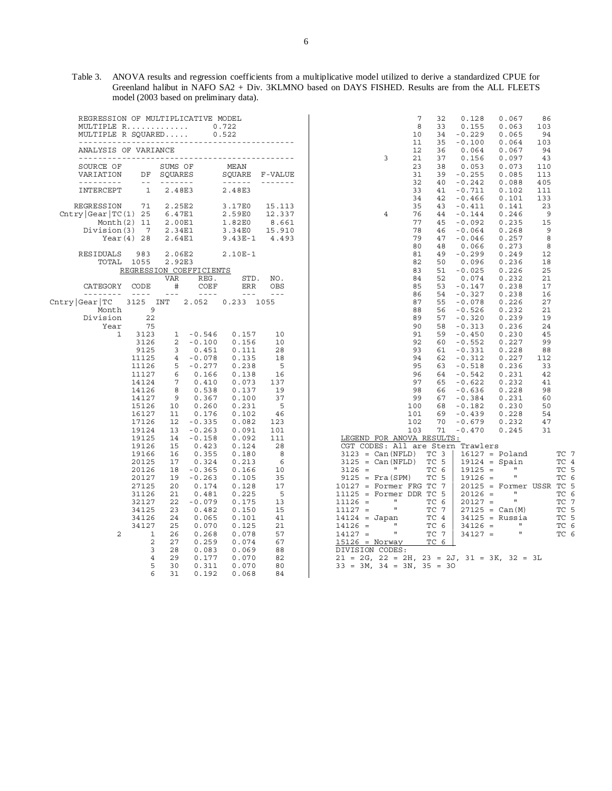Table 3. ANOVA results and regression coefficients from a multiplicative model utilized to derive a standardized CPUE for Greenland halibut in NAFO SA2 + Div. 3KLMNO based on DAYS FISHED. Results are from the ALL FLEETS model (2003 based on preliminary data).

| REGRESSION OF MULTIPLICATIVE MODEL<br>MULTIPLE R<br>MULTIPLE R SOUARED       |                                                                                                                                                                                                                                                                                                                                                                                                   |                                      |                                                                                                                                                                                                                                                                                                                                                                                                                           | 0.722<br>0.522                                                                                                                                                                                                                                                                                                                                                                                                                                                                                           |                                              |
|------------------------------------------------------------------------------|---------------------------------------------------------------------------------------------------------------------------------------------------------------------------------------------------------------------------------------------------------------------------------------------------------------------------------------------------------------------------------------------------|--------------------------------------|---------------------------------------------------------------------------------------------------------------------------------------------------------------------------------------------------------------------------------------------------------------------------------------------------------------------------------------------------------------------------------------------------------------------------|----------------------------------------------------------------------------------------------------------------------------------------------------------------------------------------------------------------------------------------------------------------------------------------------------------------------------------------------------------------------------------------------------------------------------------------------------------------------------------------------------------|----------------------------------------------|
| ---------<br>ANALYSIS OF VARIANCE                                            |                                                                                                                                                                                                                                                                                                                                                                                                   |                                      |                                                                                                                                                                                                                                                                                                                                                                                                                           |                                                                                                                                                                                                                                                                                                                                                                                                                                                                                                          |                                              |
| SOURCE OF<br>VARIATION                                                       | DF<br>$\sim$ $ \,$                                                                                                                                                                                                                                                                                                                                                                                | SUMS OF<br>SOUARES<br>-------        |                                                                                                                                                                                                                                                                                                                                                                                                                           | MEAN<br>SOUARE<br>$\begin{array}{cccccccccccccc} \multicolumn{2}{c}{} & \multicolumn{2}{c}{} & \multicolumn{2}{c}{} & \multicolumn{2}{c}{} & \multicolumn{2}{c}{} & \multicolumn{2}{c}{} & \multicolumn{2}{c}{} & \multicolumn{2}{c}{} & \multicolumn{2}{c}{} & \multicolumn{2}{c}{} & \multicolumn{2}{c}{} & \multicolumn{2}{c}{} & \multicolumn{2}{c}{} & \multicolumn{2}{c}{} & \multicolumn{2}{c}{} & \multicolumn{2}{c}{} & \multicolumn{2}{c}{} & \multicolumn{2}{c}{} & \multicolumn{2}{c}{} & \$ | F-VALUE                                      |
| INTERCEPT                                                                    | $\mathbf{1}$                                                                                                                                                                                                                                                                                                                                                                                      | 2.48E3                               |                                                                                                                                                                                                                                                                                                                                                                                                                           | 2.48E3                                                                                                                                                                                                                                                                                                                                                                                                                                                                                                   |                                              |
| <b>REGRESSION</b><br>Chtry Gear TC(1) 25 6.47E1<br>Division(3)<br>Year $(4)$ | 71<br>Month $(2)$ 11<br>$\overline{7}$<br>28                                                                                                                                                                                                                                                                                                                                                      | 2.25E2<br>2.00E1<br>2.34E1<br>2.64E1 |                                                                                                                                                                                                                                                                                                                                                                                                                           | 3.17E0<br>2.59E0<br>1.82E0<br>3.34E0<br>$9.43E-1$                                                                                                                                                                                                                                                                                                                                                                                                                                                        | 15.113<br>12.337<br>8.661<br>15.910<br>4.493 |
| RESIDUALS<br>TOTAL                                                           | 983<br>1055                                                                                                                                                                                                                                                                                                                                                                                       | 2.06E2<br>2.92E3                     | REGRESSION COEFFICIENTS                                                                                                                                                                                                                                                                                                                                                                                                   | 2.10E-1                                                                                                                                                                                                                                                                                                                                                                                                                                                                                                  |                                              |
|                                                                              |                                                                                                                                                                                                                                                                                                                                                                                                   | VAR                                  | REG.                                                                                                                                                                                                                                                                                                                                                                                                                      | STD.                                                                                                                                                                                                                                                                                                                                                                                                                                                                                                     | NO.                                          |
| CATEGORY<br>--------                                                         | CODE                                                                                                                                                                                                                                                                                                                                                                                              | #                                    | COEF                                                                                                                                                                                                                                                                                                                                                                                                                      | ERR<br>$- - -$                                                                                                                                                                                                                                                                                                                                                                                                                                                                                           | OBS                                          |
| Cntry Gear TC<br>Month                                                       | $\frac{1}{2} \frac{1}{2} \frac{1}{2} \frac{1}{2} \frac{1}{2} \frac{1}{2} \frac{1}{2} \frac{1}{2} \frac{1}{2} \frac{1}{2} \frac{1}{2} \frac{1}{2} \frac{1}{2} \frac{1}{2} \frac{1}{2} \frac{1}{2} \frac{1}{2} \frac{1}{2} \frac{1}{2} \frac{1}{2} \frac{1}{2} \frac{1}{2} \frac{1}{2} \frac{1}{2} \frac{1}{2} \frac{1}{2} \frac{1}{2} \frac{1}{2} \frac{1}{2} \frac{1}{2} \frac{1}{2} \frac{$<br>9 | $- - -$                              | $\frac{1}{2} \frac{1}{2} \frac{1}{2} \frac{1}{2} \frac{1}{2} \frac{1}{2} \frac{1}{2} \frac{1}{2} \frac{1}{2} \frac{1}{2} \frac{1}{2} \frac{1}{2} \frac{1}{2} \frac{1}{2} \frac{1}{2} \frac{1}{2} \frac{1}{2} \frac{1}{2} \frac{1}{2} \frac{1}{2} \frac{1}{2} \frac{1}{2} \frac{1}{2} \frac{1}{2} \frac{1}{2} \frac{1}{2} \frac{1}{2} \frac{1}{2} \frac{1}{2} \frac{1}{2} \frac{1}{2} \frac{$<br>3125 INT 2.052 0.233 1055 |                                                                                                                                                                                                                                                                                                                                                                                                                                                                                                          | $\frac{1}{2}$                                |
| Division                                                                     | 22                                                                                                                                                                                                                                                                                                                                                                                                |                                      |                                                                                                                                                                                                                                                                                                                                                                                                                           |                                                                                                                                                                                                                                                                                                                                                                                                                                                                                                          |                                              |
| Year                                                                         | 75                                                                                                                                                                                                                                                                                                                                                                                                |                                      |                                                                                                                                                                                                                                                                                                                                                                                                                           |                                                                                                                                                                                                                                                                                                                                                                                                                                                                                                          |                                              |
| 1                                                                            | 3123                                                                                                                                                                                                                                                                                                                                                                                              | $\mathbf{1}$                         | $-0.546$                                                                                                                                                                                                                                                                                                                                                                                                                  | 0.157                                                                                                                                                                                                                                                                                                                                                                                                                                                                                                    | 10                                           |
|                                                                              | 3126                                                                                                                                                                                                                                                                                                                                                                                              | $\mathbf{2}$                         | $-0.100$                                                                                                                                                                                                                                                                                                                                                                                                                  | 0.156                                                                                                                                                                                                                                                                                                                                                                                                                                                                                                    | 10                                           |
|                                                                              | 9125                                                                                                                                                                                                                                                                                                                                                                                              | 3 <sup>7</sup>                       | 0.451                                                                                                                                                                                                                                                                                                                                                                                                                     | 0.111                                                                                                                                                                                                                                                                                                                                                                                                                                                                                                    | 28                                           |
|                                                                              | 11125                                                                                                                                                                                                                                                                                                                                                                                             | $\overline{4}$                       | $-0.078$                                                                                                                                                                                                                                                                                                                                                                                                                  | 0.135                                                                                                                                                                                                                                                                                                                                                                                                                                                                                                    | 18                                           |
|                                                                              | 11126                                                                                                                                                                                                                                                                                                                                                                                             | 5 <sup>5</sup>                       | $-0.277$                                                                                                                                                                                                                                                                                                                                                                                                                  | 0.238                                                                                                                                                                                                                                                                                                                                                                                                                                                                                                    | - 5                                          |
|                                                                              | 11127                                                                                                                                                                                                                                                                                                                                                                                             | 6                                    | 0.166                                                                                                                                                                                                                                                                                                                                                                                                                     | 0.138                                                                                                                                                                                                                                                                                                                                                                                                                                                                                                    | 16                                           |
|                                                                              | 14124                                                                                                                                                                                                                                                                                                                                                                                             | $7\overline{ }$                      | 0.410                                                                                                                                                                                                                                                                                                                                                                                                                     | 0.073                                                                                                                                                                                                                                                                                                                                                                                                                                                                                                    | 137                                          |
|                                                                              | 14126                                                                                                                                                                                                                                                                                                                                                                                             | 8                                    | 0.538                                                                                                                                                                                                                                                                                                                                                                                                                     | 0.137                                                                                                                                                                                                                                                                                                                                                                                                                                                                                                    | 19                                           |
|                                                                              | 14127                                                                                                                                                                                                                                                                                                                                                                                             | 9                                    | 0.367                                                                                                                                                                                                                                                                                                                                                                                                                     | 0.100                                                                                                                                                                                                                                                                                                                                                                                                                                                                                                    | 37                                           |
|                                                                              | 15126                                                                                                                                                                                                                                                                                                                                                                                             | 10                                   | 0.260                                                                                                                                                                                                                                                                                                                                                                                                                     | 0.231                                                                                                                                                                                                                                                                                                                                                                                                                                                                                                    | 5                                            |
|                                                                              | 16127                                                                                                                                                                                                                                                                                                                                                                                             | 11                                   | 0.176                                                                                                                                                                                                                                                                                                                                                                                                                     | 0.102                                                                                                                                                                                                                                                                                                                                                                                                                                                                                                    | 46                                           |
|                                                                              | 17126                                                                                                                                                                                                                                                                                                                                                                                             | 12                                   | $-0.335$                                                                                                                                                                                                                                                                                                                                                                                                                  | 0.082                                                                                                                                                                                                                                                                                                                                                                                                                                                                                                    | 123                                          |
|                                                                              | 19124                                                                                                                                                                                                                                                                                                                                                                                             | 13                                   | $-0.263$                                                                                                                                                                                                                                                                                                                                                                                                                  | 0.091                                                                                                                                                                                                                                                                                                                                                                                                                                                                                                    | 101                                          |
|                                                                              | 19125                                                                                                                                                                                                                                                                                                                                                                                             | 14                                   | $-0.158$                                                                                                                                                                                                                                                                                                                                                                                                                  | 0.092                                                                                                                                                                                                                                                                                                                                                                                                                                                                                                    | 111                                          |
|                                                                              | 19126                                                                                                                                                                                                                                                                                                                                                                                             | 15                                   | 0.423                                                                                                                                                                                                                                                                                                                                                                                                                     | 0.124                                                                                                                                                                                                                                                                                                                                                                                                                                                                                                    | 28                                           |
|                                                                              | 19166                                                                                                                                                                                                                                                                                                                                                                                             | 16                                   | 0.355                                                                                                                                                                                                                                                                                                                                                                                                                     | 0.180                                                                                                                                                                                                                                                                                                                                                                                                                                                                                                    | 8                                            |
|                                                                              | 20125                                                                                                                                                                                                                                                                                                                                                                                             | 17                                   | 0.324                                                                                                                                                                                                                                                                                                                                                                                                                     | 0.213                                                                                                                                                                                                                                                                                                                                                                                                                                                                                                    | - 6                                          |
|                                                                              | 20126                                                                                                                                                                                                                                                                                                                                                                                             | 18                                   | $-0.365$                                                                                                                                                                                                                                                                                                                                                                                                                  | 0.166                                                                                                                                                                                                                                                                                                                                                                                                                                                                                                    | 10                                           |
|                                                                              | 20127                                                                                                                                                                                                                                                                                                                                                                                             | 19                                   | $-0.263$                                                                                                                                                                                                                                                                                                                                                                                                                  | 0.105                                                                                                                                                                                                                                                                                                                                                                                                                                                                                                    | 35                                           |
|                                                                              | 27125                                                                                                                                                                                                                                                                                                                                                                                             | 20                                   | 0.174                                                                                                                                                                                                                                                                                                                                                                                                                     | 0.128                                                                                                                                                                                                                                                                                                                                                                                                                                                                                                    | 17                                           |
|                                                                              | 31126                                                                                                                                                                                                                                                                                                                                                                                             | 21                                   | 0.481                                                                                                                                                                                                                                                                                                                                                                                                                     | 0.225                                                                                                                                                                                                                                                                                                                                                                                                                                                                                                    | - 5                                          |
|                                                                              | 32127                                                                                                                                                                                                                                                                                                                                                                                             | 22                                   | $-0.079$                                                                                                                                                                                                                                                                                                                                                                                                                  | 0.175                                                                                                                                                                                                                                                                                                                                                                                                                                                                                                    | 13                                           |
|                                                                              | 34125                                                                                                                                                                                                                                                                                                                                                                                             | 23                                   | 0.482                                                                                                                                                                                                                                                                                                                                                                                                                     | 0.150                                                                                                                                                                                                                                                                                                                                                                                                                                                                                                    | 15                                           |
|                                                                              | 34126                                                                                                                                                                                                                                                                                                                                                                                             | 24                                   | 0.065                                                                                                                                                                                                                                                                                                                                                                                                                     | 0.101                                                                                                                                                                                                                                                                                                                                                                                                                                                                                                    | 41                                           |
|                                                                              | 34127                                                                                                                                                                                                                                                                                                                                                                                             | 25                                   | 0.070                                                                                                                                                                                                                                                                                                                                                                                                                     | 0.125                                                                                                                                                                                                                                                                                                                                                                                                                                                                                                    | 21                                           |
| 2                                                                            | 1                                                                                                                                                                                                                                                                                                                                                                                                 | 26                                   | 0.268                                                                                                                                                                                                                                                                                                                                                                                                                     | 0.078                                                                                                                                                                                                                                                                                                                                                                                                                                                                                                    | 57                                           |
|                                                                              | 2                                                                                                                                                                                                                                                                                                                                                                                                 | 27                                   | 0.259                                                                                                                                                                                                                                                                                                                                                                                                                     | 0.074                                                                                                                                                                                                                                                                                                                                                                                                                                                                                                    | 67                                           |
|                                                                              | 3                                                                                                                                                                                                                                                                                                                                                                                                 | 28                                   | 0.083                                                                                                                                                                                                                                                                                                                                                                                                                     | 0.069                                                                                                                                                                                                                                                                                                                                                                                                                                                                                                    | 88                                           |
|                                                                              | 4                                                                                                                                                                                                                                                                                                                                                                                                 | 29                                   | 0.177                                                                                                                                                                                                                                                                                                                                                                                                                     | 0.070                                                                                                                                                                                                                                                                                                                                                                                                                                                                                                    | 82                                           |
|                                                                              | 5                                                                                                                                                                                                                                                                                                                                                                                                 | 30                                   | 0.311                                                                                                                                                                                                                                                                                                                                                                                                                     | 0.070                                                                                                                                                                                                                                                                                                                                                                                                                                                                                                    | 80                                           |

6 31 0.192 0.068 84

| 7<br>8<br>10<br>11<br>12<br>3<br>21                                                                                                                                                                                                                                                                                                                                               | 32<br>33<br>34<br>35<br>36<br>37                                                                                                    | 0.128<br>0.155<br>$-0.229$<br>$-0.100$<br>0.064<br>0.156                                                    | 0.067<br>0.063<br>0.065<br>0.064<br>0.067<br>0.097                                                                                                                             | 86<br>103<br>94<br>103<br>94<br>43 |                                                                                                                       |
|-----------------------------------------------------------------------------------------------------------------------------------------------------------------------------------------------------------------------------------------------------------------------------------------------------------------------------------------------------------------------------------|-------------------------------------------------------------------------------------------------------------------------------------|-------------------------------------------------------------------------------------------------------------|--------------------------------------------------------------------------------------------------------------------------------------------------------------------------------|------------------------------------|-----------------------------------------------------------------------------------------------------------------------|
| 23                                                                                                                                                                                                                                                                                                                                                                                | 38                                                                                                                                  | 0.053                                                                                                       | 0.073                                                                                                                                                                          | 110                                |                                                                                                                       |
| 31                                                                                                                                                                                                                                                                                                                                                                                | 39                                                                                                                                  | $-0.255$                                                                                                    | 0.085                                                                                                                                                                          | 113                                |                                                                                                                       |
| 32                                                                                                                                                                                                                                                                                                                                                                                | 40                                                                                                                                  | $-0.242$                                                                                                    | 0.088                                                                                                                                                                          | 405                                |                                                                                                                       |
| 33                                                                                                                                                                                                                                                                                                                                                                                | 41                                                                                                                                  | $-0.711$                                                                                                    | 0.102                                                                                                                                                                          | 111                                |                                                                                                                       |
| 34                                                                                                                                                                                                                                                                                                                                                                                | 42                                                                                                                                  | $-0.466$                                                                                                    | 0.101                                                                                                                                                                          | 133                                |                                                                                                                       |
| 35<br>4<br>76<br>77<br>78<br>79                                                                                                                                                                                                                                                                                                                                                   | 43<br>44<br>45<br>46<br>47                                                                                                          | $-0.411$<br>$-0.144$<br>$-0.092$<br>-0.064<br>$-0.046$                                                      | 0.141<br>0.246<br>0.235<br>0.268<br>0.257                                                                                                                                      | 23<br>9<br>15<br>9<br>8            |                                                                                                                       |
| 80                                                                                                                                                                                                                                                                                                                                                                                | 48                                                                                                                                  | 0.066                                                                                                       | 0.273                                                                                                                                                                          | 8                                  |                                                                                                                       |
| 81                                                                                                                                                                                                                                                                                                                                                                                | 49                                                                                                                                  | $-0.299$                                                                                                    | 0.249                                                                                                                                                                          | 12                                 |                                                                                                                       |
| 82                                                                                                                                                                                                                                                                                                                                                                                | 50                                                                                                                                  | 0.096                                                                                                       | 0.236                                                                                                                                                                          | 18                                 |                                                                                                                       |
| 83                                                                                                                                                                                                                                                                                                                                                                                | 51                                                                                                                                  | $-0.025$                                                                                                    | 0.226                                                                                                                                                                          | 25                                 |                                                                                                                       |
| 84                                                                                                                                                                                                                                                                                                                                                                                | 52                                                                                                                                  | 0.074                                                                                                       | 0.232                                                                                                                                                                          | 21                                 |                                                                                                                       |
| 85                                                                                                                                                                                                                                                                                                                                                                                | 53                                                                                                                                  | $-0.147$                                                                                                    | 0.238                                                                                                                                                                          | 17                                 |                                                                                                                       |
| 86                                                                                                                                                                                                                                                                                                                                                                                | 54                                                                                                                                  | $-0.327$                                                                                                    | 0.238                                                                                                                                                                          | 16                                 |                                                                                                                       |
| 87                                                                                                                                                                                                                                                                                                                                                                                | 55                                                                                                                                  | $-0.078$                                                                                                    | 0.226                                                                                                                                                                          | 27                                 |                                                                                                                       |
| 88                                                                                                                                                                                                                                                                                                                                                                                | 56                                                                                                                                  | $-0.526$                                                                                                    | 0.232                                                                                                                                                                          | 21                                 |                                                                                                                       |
| 89                                                                                                                                                                                                                                                                                                                                                                                | 57                                                                                                                                  | $-0.320$                                                                                                    | 0.239                                                                                                                                                                          | 19                                 |                                                                                                                       |
| 90                                                                                                                                                                                                                                                                                                                                                                                | 58                                                                                                                                  | $-0.313$                                                                                                    | 0.236                                                                                                                                                                          | 24                                 |                                                                                                                       |
| 91                                                                                                                                                                                                                                                                                                                                                                                | 59                                                                                                                                  | $-0.450$                                                                                                    | 0.230                                                                                                                                                                          | 45                                 |                                                                                                                       |
| 92                                                                                                                                                                                                                                                                                                                                                                                | 60                                                                                                                                  | $-0.552$                                                                                                    | 0.227                                                                                                                                                                          | 99                                 |                                                                                                                       |
| 93                                                                                                                                                                                                                                                                                                                                                                                | 61                                                                                                                                  | -0.331                                                                                                      | 0.228                                                                                                                                                                          | 88                                 |                                                                                                                       |
| 94                                                                                                                                                                                                                                                                                                                                                                                | 62                                                                                                                                  | $-0.312$                                                                                                    | 0.227                                                                                                                                                                          | 112                                |                                                                                                                       |
| 95                                                                                                                                                                                                                                                                                                                                                                                | 63                                                                                                                                  | $-0.518$                                                                                                    | 0.236                                                                                                                                                                          | 33                                 |                                                                                                                       |
| 96                                                                                                                                                                                                                                                                                                                                                                                | 64                                                                                                                                  | $-0.542$                                                                                                    | 0.231                                                                                                                                                                          | 42                                 |                                                                                                                       |
| 97                                                                                                                                                                                                                                                                                                                                                                                | 65                                                                                                                                  | $-0.622$                                                                                                    | 0.232                                                                                                                                                                          | 41                                 |                                                                                                                       |
| 98                                                                                                                                                                                                                                                                                                                                                                                | 66                                                                                                                                  | $-0.636$                                                                                                    | 0.228                                                                                                                                                                          | 98                                 |                                                                                                                       |
| 99                                                                                                                                                                                                                                                                                                                                                                                | 67                                                                                                                                  | $-0.384$                                                                                                    | 0.231                                                                                                                                                                          | 60                                 |                                                                                                                       |
| 100                                                                                                                                                                                                                                                                                                                                                                               | 68                                                                                                                                  | $-0.182$                                                                                                    | 0.230                                                                                                                                                                          | 50                                 |                                                                                                                       |
| 101                                                                                                                                                                                                                                                                                                                                                                               | 69                                                                                                                                  | $-0.439$                                                                                                    | 0.228                                                                                                                                                                          | 54                                 |                                                                                                                       |
| 102                                                                                                                                                                                                                                                                                                                                                                               | 70                                                                                                                                  | $-0.679$                                                                                                    | 0.232                                                                                                                                                                          | 47                                 |                                                                                                                       |
| 103<br>ANOVA<br>LEGEND<br>FOR                                                                                                                                                                                                                                                                                                                                                     | 71<br>RESULTS:                                                                                                                      | $-0.470$                                                                                                    | 0.245                                                                                                                                                                          | 31                                 |                                                                                                                       |
| CODES:<br>All<br>CGT<br>are<br>3123<br>Can (NFLD)<br>$=$<br>3125<br>Can (NFLD)<br>$=$<br>П<br>3126<br>$=$<br>9125<br>Fra(SPM)<br>$=$<br>10127<br>Former<br>FRG<br>$=$<br>11125<br>DDR TC<br>Former<br>$=$<br>11126<br>П<br>$=$<br>П<br>11127<br>$=$<br>14124<br>$=$<br>Japan<br>$\mathbf{H}$<br>14126<br>$=$<br>H<br>14127<br>$=$<br>15126<br>$=$<br>Norway<br>DIVISION<br>CODES: | Stern<br>ТC<br>3<br>ТC<br>5<br>ТC<br>6<br>ТC<br>5<br>7<br>ТC<br>5<br>ТC<br>6<br>ТC<br>7<br>ТC<br>4<br>ТC<br>6<br>ТC<br>7<br>6<br>ТC | Trawlers<br>16127<br>19124<br>19125<br>19126<br>20125<br>20126<br>20127<br>27125<br>34125<br>34126<br>34127 | Poland<br>$=$<br>Spain<br>$=$<br>П<br>$=$<br>Ħ<br>$=$<br>Former<br>$=$<br>П<br>$=$<br>H<br>$=$<br>Can(M)<br>$=$<br>Russia<br>$\quad =$<br>$\mathbf{u}$<br>$=$<br>П<br>$\equiv$ | USSR                               | TC<br>7<br>ТC<br>4<br>TC<br>5<br>ТC<br>6<br>ТC<br>5<br>ТC<br>6<br>TC<br>7<br>5<br>ТC<br>TC<br>5<br>ТC<br>6<br>ТC<br>6 |
| 2G,<br>21<br>22<br>2H,<br>$=$<br>$\equiv$<br>33<br>ЗΜ,<br>34<br>3N,<br>$=$<br>$\quad =$                                                                                                                                                                                                                                                                                           | 23<br>$=$<br>35<br>30<br>$=$                                                                                                        | 2J,<br>$31 = 3K,$                                                                                           | $32 =$                                                                                                                                                                         | ЗL                                 |                                                                                                                       |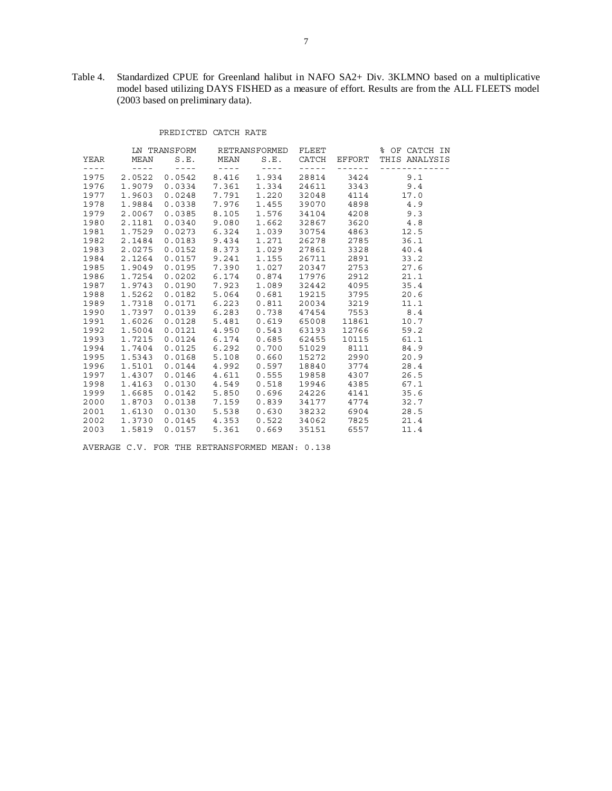Table 4. Standardized CPUE for Greenland halibut in NAFO SA2+ Div. 3KLMNO based on a multiplicative model based utilizing DAYS FISHED as a measure of effort. Results are from the ALL FLEETS model (2003 based on preliminary data).

# PREDICTED CATCH RATE

|               |               | LN TRANSFORM RETRANSFORMED FLEET |                                                         |                                  |                |                                                                                                                                                                                                                                                                                                                                                                                                                                                                            | % OF CATCH IN                   |
|---------------|---------------|----------------------------------|---------------------------------------------------------|----------------------------------|----------------|----------------------------------------------------------------------------------------------------------------------------------------------------------------------------------------------------------------------------------------------------------------------------------------------------------------------------------------------------------------------------------------------------------------------------------------------------------------------------|---------------------------------|
| YEAR          | MEAN          |                                  | S.E. MEAN                                               |                                  |                |                                                                                                                                                                                                                                                                                                                                                                                                                                                                            | S.E. CATCH EFFORT THIS ANALYSIS |
| $\frac{1}{2}$ | $\sim$ $   -$ | $\sim$ $   -$                    | $\mathcal{L} = \mathcal{L} + \mathcal{L} + \mathcal{L}$ | $\sim$ $   -$                    | $\sim$ $    -$ | $\frac{1}{2} \left( \frac{1}{2} \right) \left( \frac{1}{2} \right) \left( \frac{1}{2} \right) \left( \frac{1}{2} \right) \left( \frac{1}{2} \right) \left( \frac{1}{2} \right) \left( \frac{1}{2} \right) \left( \frac{1}{2} \right) \left( \frac{1}{2} \right) \left( \frac{1}{2} \right) \left( \frac{1}{2} \right) \left( \frac{1}{2} \right) \left( \frac{1}{2} \right) \left( \frac{1}{2} \right) \left( \frac{1}{2} \right) \left( \frac{1}{2} \right) \left( \frac$ | _____________                   |
|               | 1975 2.0522   |                                  | $0.0542$ $8.416$                                        | 1.934                            |                |                                                                                                                                                                                                                                                                                                                                                                                                                                                                            | 28814 3424 9.1                  |
| 1976          | 1.9079        |                                  | $0.0334$ 7.361                                          | 1.334                            |                |                                                                                                                                                                                                                                                                                                                                                                                                                                                                            | 24611 3343 9.4                  |
| 1977          | 1.9603        | $0.0248$ 7.791                   |                                                         | 1,220                            |                | 32048 4114                                                                                                                                                                                                                                                                                                                                                                                                                                                                 | 17.0                            |
| 1978          | 1.9884        | $0.0338$ 7.976                   |                                                         | 1.455                            | 39070          |                                                                                                                                                                                                                                                                                                                                                                                                                                                                            | 4898 4.9                        |
|               | 1979 2.0067   |                                  | $0.0385$ $8.105$                                        | 1.576                            | 34104          |                                                                                                                                                                                                                                                                                                                                                                                                                                                                            | 4208 9.3                        |
|               | 1980 2.1181   |                                  | $0.0340$ 9.080                                          | 1.662                            | 32867          | 3620                                                                                                                                                                                                                                                                                                                                                                                                                                                                       | 4.8                             |
| 1981          | 1.7529        | $0.0273$ 6.324                   |                                                         | 1.039                            | 30754          |                                                                                                                                                                                                                                                                                                                                                                                                                                                                            | 4863 12.5                       |
| 1982          | 2.1484        | $0.0183$ $9.434$                 |                                                         | 1.271                            | 26278          | 2785                                                                                                                                                                                                                                                                                                                                                                                                                                                                       | 36.1                            |
| 1983          | 2.0275        |                                  | $0.0152$ $8.373$                                        | 1.029                            | 27861          | 3328                                                                                                                                                                                                                                                                                                                                                                                                                                                                       | 40.4                            |
|               | 1984 2.1264   | $0.0157$ 9.241                   |                                                         | 1.155                            | 26711          | 2891                                                                                                                                                                                                                                                                                                                                                                                                                                                                       | 33.2                            |
|               | 1985 1.9049   |                                  | $0.0195$ 7.390                                          | 1.027                            | 20347          | 2753                                                                                                                                                                                                                                                                                                                                                                                                                                                                       | 27.6                            |
|               | 1986 1.7254   |                                  | $0.0202$ $6.174$                                        | 0.874                            |                | 17976 2912                                                                                                                                                                                                                                                                                                                                                                                                                                                                 | 21.1                            |
| 1987          | 1.9743        | $0.0190$ 7.923                   |                                                         | 1.089                            |                | 32442 4095                                                                                                                                                                                                                                                                                                                                                                                                                                                                 | 35.4                            |
| 1988          | 1.5262        | 0.0182                           | 5.064                                                   | 0.681                            | 19215          | 3795                                                                                                                                                                                                                                                                                                                                                                                                                                                                       | 20.6                            |
| 1989          | 1.7318        | $0.0171$ 6.223                   |                                                         | 0.811                            |                | 20034 3219                                                                                                                                                                                                                                                                                                                                                                                                                                                                 | 11.1                            |
|               | 1990 1.7397   |                                  | $0.0139$ $6.283$                                        | 0.738                            |                | 47454 7553                                                                                                                                                                                                                                                                                                                                                                                                                                                                 | 8.4                             |
|               | 1991 1.6026   |                                  |                                                         | $0.0128$ 5.481 0.619 65008 11861 |                |                                                                                                                                                                                                                                                                                                                                                                                                                                                                            | 10.7                            |
|               | 1992 1.5004   |                                  |                                                         | $0.0121$ 4.950 0.543             |                | 63193 12766                                                                                                                                                                                                                                                                                                                                                                                                                                                                | 59.2                            |
| 1993          | 1.7215        | $0.0124$ 6.174                   |                                                         | 0.685                            | 62455          | 10115                                                                                                                                                                                                                                                                                                                                                                                                                                                                      | 61.1                            |
| 1994          | 1.7404        | $0.0125$ 6.292                   |                                                         | 0.700                            | 51029          | 8111                                                                                                                                                                                                                                                                                                                                                                                                                                                                       | 84.9                            |
|               | 1995 1.5343   | $0.0168$ 5.108                   |                                                         | 0.660                            |                | 15272 2990                                                                                                                                                                                                                                                                                                                                                                                                                                                                 | 20.9                            |
|               | 1996 1.5101   |                                  |                                                         | $0.0144$ 4.992 0.597             |                | 18840 3774                                                                                                                                                                                                                                                                                                                                                                                                                                                                 | 28.4                            |
|               | 1997 1.4307   |                                  | $0.0146$ $4.611$                                        | 0.555                            |                | 19858 4307                                                                                                                                                                                                                                                                                                                                                                                                                                                                 | 26.5                            |
| 1998          | 1.4163        | 0.0130 4.549                     |                                                         | 0.518                            | 19946          | 4385                                                                                                                                                                                                                                                                                                                                                                                                                                                                       | 67.1                            |
| 1999          | 1.6685        | $0.0142$ 5.850                   |                                                         | 0.696                            | 24226          | 4141                                                                                                                                                                                                                                                                                                                                                                                                                                                                       | 35.6                            |
| 2000          | 1.8703        | $0.0138$ 7.159                   |                                                         | 0.839                            | 34177          | 4774                                                                                                                                                                                                                                                                                                                                                                                                                                                                       | 32.7                            |
| 2001          | 1,6130        |                                  | $0.0130$ 5.538                                          | 0.630                            | 38232          | 6904                                                                                                                                                                                                                                                                                                                                                                                                                                                                       | 28.5                            |
| 2002          | 1.3730        |                                  | $0.0145$ 4.353                                          | 0.522                            | 34062          |                                                                                                                                                                                                                                                                                                                                                                                                                                                                            | 7825 21.4                       |
| 2003          | 1.5819        | 0.0157                           | 5.361                                                   | 0.669                            | 35151          | 6557                                                                                                                                                                                                                                                                                                                                                                                                                                                                       | 11.4                            |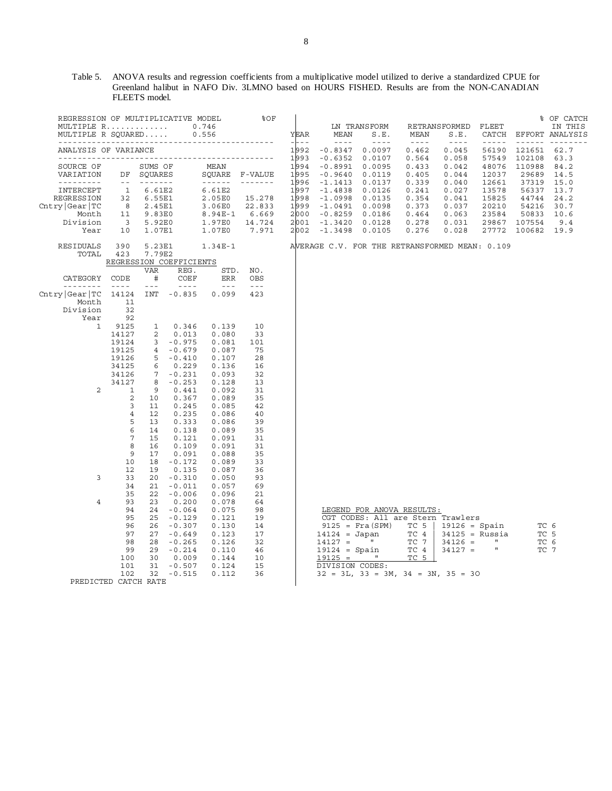Table 5. ANOVA results and regression coefficients from a multiplicative model utilized to derive a standardized CPUE for Greenland halibut in NAFO Div. 3LMNO based on HOURS FISHED. Results are from the NON-CANADIAN FLEETS model.

| REGRESSION OF MULTIPLICATIVE MODEL<br>MULTIPLE R<br>MULTIPLE R SOUARED                                                                                                                                                                                                                                                                                                                                                                                                                             |                                                                                  |                                                                                                                                                                                                                                                                                                                                                                                                                                                                                                                                                                             |                                                                                                                | 0.746<br>0.556                                                                         | 80F                                                                | YEAR<br>$  -$                                                                | MEAN<br>$\sim$ $\sim$ $\sim$ $\sim$                                                                                          | LN TRANSFORM<br>S.E.<br>$\frac{1}{2}$                                                                                                                              | MEAN<br>$\sim$ $  -$                                                                   | <b>RETRANSFORMED</b><br>S.E.<br>$\equiv$ $\equiv$ $\equiv$ $\equiv$                    | FLEET<br>$\frac{1}{2} \frac{1}{2} \frac{1}{2} \frac{1}{2} \frac{1}{2} \frac{1}{2} \frac{1}{2} \frac{1}{2} \frac{1}{2} \frac{1}{2} \frac{1}{2} \frac{1}{2} \frac{1}{2} \frac{1}{2} \frac{1}{2} \frac{1}{2} \frac{1}{2} \frac{1}{2} \frac{1}{2} \frac{1}{2} \frac{1}{2} \frac{1}{2} \frac{1}{2} \frac{1}{2} \frac{1}{2} \frac{1}{2} \frac{1}{2} \frac{1}{2} \frac{1}{2} \frac{1}{2} \frac{1}{2} \frac{$ |                                                                                                              | % OF CATCH<br>IN THIS<br>CATCH EFFORT ANALYSIS<br><u>------ --------</u>    |
|----------------------------------------------------------------------------------------------------------------------------------------------------------------------------------------------------------------------------------------------------------------------------------------------------------------------------------------------------------------------------------------------------------------------------------------------------------------------------------------------------|----------------------------------------------------------------------------------|-----------------------------------------------------------------------------------------------------------------------------------------------------------------------------------------------------------------------------------------------------------------------------------------------------------------------------------------------------------------------------------------------------------------------------------------------------------------------------------------------------------------------------------------------------------------------------|----------------------------------------------------------------------------------------------------------------|----------------------------------------------------------------------------------------|--------------------------------------------------------------------|------------------------------------------------------------------------------|------------------------------------------------------------------------------------------------------------------------------|--------------------------------------------------------------------------------------------------------------------------------------------------------------------|----------------------------------------------------------------------------------------|----------------------------------------------------------------------------------------|-------------------------------------------------------------------------------------------------------------------------------------------------------------------------------------------------------------------------------------------------------------------------------------------------------------------------------------------------------------------------------------------------------|--------------------------------------------------------------------------------------------------------------|-----------------------------------------------------------------------------|
| ANALYSIS OF VARIANCE                                                                                                                                                                                                                                                                                                                                                                                                                                                                               |                                                                                  |                                                                                                                                                                                                                                                                                                                                                                                                                                                                                                                                                                             |                                                                                                                |                                                                                        |                                                                    | 1992                                                                         | $-0.8347$                                                                                                                    | 0.0097                                                                                                                                                             | 0.462                                                                                  | 0.045                                                                                  | 56190                                                                                                                                                                                                                                                                                                                                                                                                 | 121651                                                                                                       | 62.7                                                                        |
| ______________________________<br>SOURCE OF<br>VARIATION<br>INTERCEPT<br>REGRESSION<br>Chtry Gear TC<br>Month<br>Division<br>Year                                                                                                                                                                                                                                                                                                                                                                  | $\sim$ $    -$<br>$\mathbf{1}$<br>32<br>8<br>11<br>$\overline{\mathbf{3}}$<br>10 | SUMS OF<br>DF SOUARES<br>$\begin{array}{cccccccccccccc} \multicolumn{2}{c}{} & \multicolumn{2}{c}{} & \multicolumn{2}{c}{} & \multicolumn{2}{c}{} & \multicolumn{2}{c}{} & \multicolumn{2}{c}{} & \multicolumn{2}{c}{} & \multicolumn{2}{c}{} & \multicolumn{2}{c}{} & \multicolumn{2}{c}{} & \multicolumn{2}{c}{} & \multicolumn{2}{c}{} & \multicolumn{2}{c}{} & \multicolumn{2}{c}{} & \multicolumn{2}{c}{} & \multicolumn{2}{c}{} & \multicolumn{2}{c}{} & \multicolumn{2}{c}{} & \multicolumn{2}{c}{} & \$<br>6.61E2<br>6.55E1<br>2.45E1<br>9.83E0<br>5.92E0<br>1.07E1 |                                                                                                                | MEAN<br>SOUARE<br>6.61E2<br>2.05E0<br>3.06E0<br>8.94E-1<br>1.97E0<br>1.07E0            | F-VALUE<br>-------<br>15.278<br>22.833<br>6.669<br>14.724<br>7.971 | 1993<br>1994<br>1995<br>1996<br>1997<br>1998<br>1999<br>2000<br>2001<br>2002 | $-0.6352$<br>$-0.8991$<br>$-0.9640$<br>$-1.1413$<br>$-1.4838$<br>$-1.0998$<br>-1.0491<br>$-0.8259$<br>$-1.3420$<br>$-1.3498$ | 0.0107<br>0.0095<br>0.0119<br>0.0137<br>0.0126<br>0.0135<br>0.0098<br>0.0186<br>0.0128<br>0.0105                                                                   | 0.564<br>0.433<br>0.405<br>0.339<br>0.241<br>0.354<br>0.373<br>0.464<br>0.278<br>0.276 | 0.058<br>0.042<br>0.044<br>0.040<br>0.027<br>0.041<br>0.037<br>0.063<br>0.031<br>0.028 | 12037<br>12661<br>13578<br>15825<br>20210<br>23584<br>27772                                                                                                                                                                                                                                                                                                                                           | 57549 102108<br>48076 110988<br>29689<br>37319<br>56337<br>44744<br>54216<br>50833<br>29867 107554<br>100682 | 63.3<br>84.2<br>14.5<br>15.0<br>13.7<br>24.2<br>30.7<br>10.6<br>9.4<br>19.9 |
| RESIDUALS<br>TOTAL                                                                                                                                                                                                                                                                                                                                                                                                                                                                                 | 390<br>423                                                                       | 5.23E1<br>7.79E2                                                                                                                                                                                                                                                                                                                                                                                                                                                                                                                                                            | REGRESSION COEFFICIENTS                                                                                        | $1.34E-1$                                                                              |                                                                    |                                                                              | AVERAGE C.V. FOR THE RETRANSFORMED MEAN: 0.109                                                                               |                                                                                                                                                                    |                                                                                        |                                                                                        |                                                                                                                                                                                                                                                                                                                                                                                                       |                                                                                                              |                                                                             |
| CATEGORY<br>$\begin{array}{cccccccccccccc} \multicolumn{2}{c}{} & \multicolumn{2}{c}{} & \multicolumn{2}{c}{} & \multicolumn{2}{c}{} & \multicolumn{2}{c}{} & \multicolumn{2}{c}{} & \multicolumn{2}{c}{} & \multicolumn{2}{c}{} & \multicolumn{2}{c}{} & \multicolumn{2}{c}{} & \multicolumn{2}{c}{} & \multicolumn{2}{c}{} & \multicolumn{2}{c}{} & \multicolumn{2}{c}{} & \multicolumn{2}{c}{} & \multicolumn{2}{c}{} & \multicolumn{2}{c}{} & \multicolumn{2}{c}{} & \multicolumn{2}{c}{} & \$ | CODE<br>$\sim$ $ \sim$ $\sim$                                                    | VAR<br>#<br>$\omega = \omega$                                                                                                                                                                                                                                                                                                                                                                                                                                                                                                                                               | REG.<br>COEF<br>$\sim$ $\sim$ $\sim$ $\sim$                                                                    | STD.<br>ERR<br>$\sim$ $\sim$ $\sim$                                                    | NO.<br>OBS<br>$\omega = \omega$                                    |                                                                              |                                                                                                                              |                                                                                                                                                                    |                                                                                        |                                                                                        |                                                                                                                                                                                                                                                                                                                                                                                                       |                                                                                                              |                                                                             |
| Chtry Gear TC<br>Month<br>Division<br>Year                                                                                                                                                                                                                                                                                                                                                                                                                                                         | 14124<br>11<br>32<br>92                                                          | INT                                                                                                                                                                                                                                                                                                                                                                                                                                                                                                                                                                         | $-0.835$                                                                                                       | 0.099                                                                                  | 423                                                                |                                                                              |                                                                                                                              |                                                                                                                                                                    |                                                                                        |                                                                                        |                                                                                                                                                                                                                                                                                                                                                                                                       |                                                                                                              |                                                                             |
| 1                                                                                                                                                                                                                                                                                                                                                                                                                                                                                                  | 9125<br>14127<br>19124<br>19125<br>19126<br>34125                                | $\mathbf{1}$<br>2<br>$4\overline{ }$<br>5<br>6                                                                                                                                                                                                                                                                                                                                                                                                                                                                                                                              | 0.346<br>0.013<br>$3 - 0.975$<br>$-0.679$<br>$-0.410$<br>0.229                                                 | 0.139<br>0.080<br>0.081<br>0.087<br>0.107<br>0.136                                     | 10<br>33<br>101<br>75<br>28<br>16                                  |                                                                              |                                                                                                                              |                                                                                                                                                                    |                                                                                        |                                                                                        |                                                                                                                                                                                                                                                                                                                                                                                                       |                                                                                                              |                                                                             |
| $\overline{2}$                                                                                                                                                                                                                                                                                                                                                                                                                                                                                     | 34126<br>34127<br>1<br>$\overline{c}$<br>3<br>$\overline{4}$<br>5<br>6           | 8<br>9<br>10<br>11<br>12<br>13<br>14                                                                                                                                                                                                                                                                                                                                                                                                                                                                                                                                        | $7 - 0.231$<br>$-0.253$<br>0.441<br>0.367<br>0.245<br>0.235<br>0.333<br>0.138                                  | 0.093<br>0.128<br>0.092<br>0.089<br>0.085<br>0.086<br>0.086<br>0.089                   | 32<br>13<br>31<br>35<br>42<br>40<br>39<br>35                       |                                                                              |                                                                                                                              |                                                                                                                                                                    |                                                                                        |                                                                                        |                                                                                                                                                                                                                                                                                                                                                                                                       |                                                                                                              |                                                                             |
| 3                                                                                                                                                                                                                                                                                                                                                                                                                                                                                                  | 7<br>8<br>9<br>10<br>12<br>33<br>34<br>35                                        | 15<br>16<br>17<br>18<br>19<br>20<br>21<br>22                                                                                                                                                                                                                                                                                                                                                                                                                                                                                                                                | 0.121<br>0.109<br>0.091<br>$-0.172$<br>0.135<br>$-0.310$<br>$-0.011$<br>$-0.006$                               | 0.091<br>0.091<br>0.088<br>0.089<br>0.087<br>0.050<br>0.057<br>0.096                   | 31<br>31<br>35<br>33<br>36<br>93<br>69<br>21                       |                                                                              |                                                                                                                              |                                                                                                                                                                    |                                                                                        |                                                                                        |                                                                                                                                                                                                                                                                                                                                                                                                       |                                                                                                              |                                                                             |
| 4<br>PREDICTED CATCH RATE                                                                                                                                                                                                                                                                                                                                                                                                                                                                          | 93<br>94<br>95<br>96<br>97<br>98<br>99<br>100<br>101<br>102                      | 23<br>24<br>25<br>26<br>27<br>28<br>29<br>30<br>31<br>32                                                                                                                                                                                                                                                                                                                                                                                                                                                                                                                    | 0.200<br>$-0.064$<br>$-0.129$<br>$-0.307$<br>$-0.649$<br>$-0.265$<br>$-0.214$<br>0.009<br>$-0.507$<br>$-0.515$ | 0.078<br>0.075<br>0.121<br>0.130<br>0.123<br>0.126<br>0.110<br>0.144<br>0.124<br>0.112 | 64<br>98<br>19<br>14<br>17<br>32<br>46<br>10<br>15<br>36           |                                                                              | $14124 = Japan$<br>$14127 =$<br>$19124 = Spain$<br>$19125 =$<br>DIVISION CODES:                                              | LEGEND FOR ANOVA RESULTS:<br>CGT CODES: All are Stern Trawlers<br>$9125 = Fra(SPM)$<br>and the state<br>$\sim$ 11<br>$32 = 3L$ , $33 = 3M$ , $34 = 3N$ , $35 = 3O$ | TC 5<br>TC 4<br>TC 7<br>TC 4<br>TC 5                                                   | $19126 = Spain$<br>$34126 =$<br>$34127 =$                                              | $34125$ = Russia<br>$\mathbf{H}$<br>$\mathbf{u}$                                                                                                                                                                                                                                                                                                                                                      |                                                                                                              | TC 6<br>TC 5<br>TC 6<br>TC 7                                                |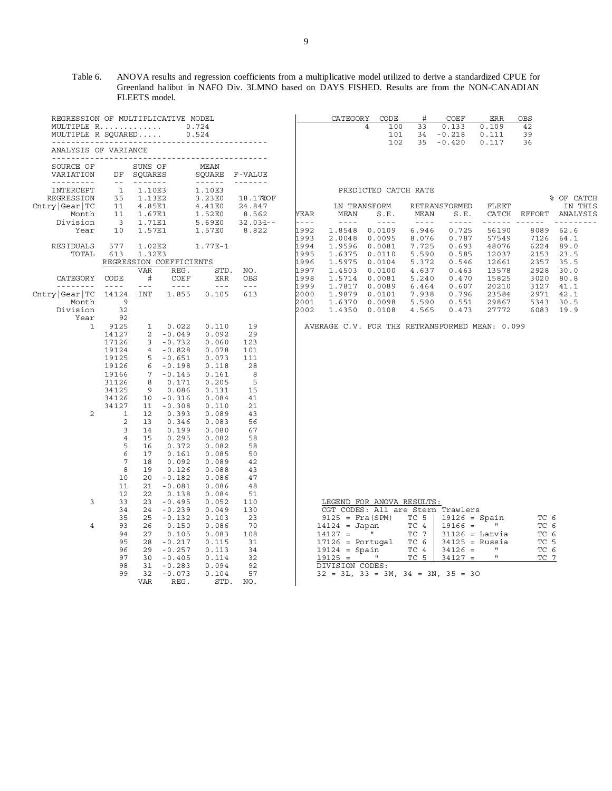## Table 6. ANOVA results and regression coefficients from a multiplicative model utilized to derive a standardized CPUE for Greenland halibut in NAFO Div. 3LMNO based on DAYS FISHED. Results are from the NON-CANADIAN FLEETS model.

| REGRESSION OF MULTIPLICATIVE MODEL           |                         |                            |                             |                                                                                                                                                                                                                                                                                                                                                                                                                                                                                        |                    |             | CATEGORY                                       | CODE                 | #           | COEF            | ERR                         | OBS           |            |
|----------------------------------------------|-------------------------|----------------------------|-----------------------------|----------------------------------------------------------------------------------------------------------------------------------------------------------------------------------------------------------------------------------------------------------------------------------------------------------------------------------------------------------------------------------------------------------------------------------------------------------------------------------------|--------------------|-------------|------------------------------------------------|----------------------|-------------|-----------------|-----------------------------|---------------|------------|
| MULTIPLE R                                   |                         |                            |                             | 0.724                                                                                                                                                                                                                                                                                                                                                                                                                                                                                  |                    |             |                                                | 4<br>100             | 33          | 0.133           | 0.109                       | 42            |            |
| MULTIPLE R SOUARED                           |                         |                            |                             | 0.524                                                                                                                                                                                                                                                                                                                                                                                                                                                                                  |                    |             |                                                | 101                  | 34          | $-0.218$        | 0.111                       | 39            |            |
|                                              | ------------------      |                            |                             |                                                                                                                                                                                                                                                                                                                                                                                                                                                                                        |                    |             |                                                | 102                  | 35          | $-0.420$        | 0.117                       | 36            |            |
| ANALYSIS OF VARIANCE<br>-------------------- |                         |                            |                             |                                                                                                                                                                                                                                                                                                                                                                                                                                                                                        |                    |             |                                                |                      |             |                 |                             |               |            |
| SOURCE OF                                    |                         | SUMS OF                    |                             | MEAN                                                                                                                                                                                                                                                                                                                                                                                                                                                                                   |                    |             |                                                |                      |             |                 |                             |               |            |
| VARIATION                                    | DF                      | SQUARES                    |                             | SOUARE                                                                                                                                                                                                                                                                                                                                                                                                                                                                                 | F-VALUE            |             |                                                |                      |             |                 |                             |               |            |
| ---------                                    | $ -$                    |                            |                             | $\begin{array}{cccccccccccccc} \multicolumn{2}{c}{} & \multicolumn{2}{c}{} & \multicolumn{2}{c}{} & \multicolumn{2}{c}{} & \multicolumn{2}{c}{} & \multicolumn{2}{c}{} & \multicolumn{2}{c}{} & \multicolumn{2}{c}{} & \multicolumn{2}{c}{} & \multicolumn{2}{c}{} & \multicolumn{2}{c}{} & \multicolumn{2}{c}{} & \multicolumn{2}{c}{} & \multicolumn{2}{c}{} & \multicolumn{2}{c}{} & \multicolumn{2}{c}{} & \multicolumn{2}{c}{} & \multicolumn{2}{c}{} & \multicolumn{2}{c}{} & \$ |                    |             |                                                |                      |             |                 |                             |               |            |
| INTERCEPT                                    | 1<br>35                 | 1.10E3                     |                             | 1.10E3                                                                                                                                                                                                                                                                                                                                                                                                                                                                                 |                    |             |                                                | PREDICTED CATCH RATE |             |                 |                             |               | % OF CATCH |
| REGRESS ION<br>Chtry Gear TC                 | 11                      | 1.13E2<br>4.85E1           |                             | 3.23E0<br>4.41E0                                                                                                                                                                                                                                                                                                                                                                                                                                                                       | 18.17%OF<br>24.847 |             |                                                | LN TRANSFORM         |             | RETRANSFORMED   | FLEET                       |               | IN THIS    |
| Month                                        | 11                      | 1.67E1                     |                             | 1.52E0                                                                                                                                                                                                                                                                                                                                                                                                                                                                                 | 8.562              | <b>YEAR</b> | MEAN                                           | S.E.                 | MEAN        | S.E.            | CATCH                       | EFFORT        | ANALYSIS   |
| Division                                     | $\overline{\mathbf{3}}$ | 1.71E1                     |                             | 5.69E0                                                                                                                                                                                                                                                                                                                                                                                                                                                                                 | $32.034 - -$       | $- - - -$   | $- - - - -$                                    | $- - - - -$          | $- - - - -$ | -----           | ------                      | $\frac{1}{2}$ | ---------  |
| Year                                         | 10                      | 1.57E1                     |                             | 1.57E0                                                                                                                                                                                                                                                                                                                                                                                                                                                                                 | 8.822              | 1992        | 1.8548                                         | 0.0109               | 6.946       | 0.725           | 56190                       | 8089          | 62.6       |
|                                              |                         |                            |                             |                                                                                                                                                                                                                                                                                                                                                                                                                                                                                        |                    | 1993        | 2.0048                                         | 0.0095               | 8.076       | 0.787           | 57549                       | 7126          | 64.1       |
| RESIDUALS                                    | 577                     | 1.02E2                     |                             | 1.77E-1                                                                                                                                                                                                                                                                                                                                                                                                                                                                                |                    | 1994        | 1.9596                                         | 0.0081               | 7.725       | 0.693           | 48076                       | 6224          | 89.0       |
| TOTAL                                        | 613                     | 1.32E3                     |                             |                                                                                                                                                                                                                                                                                                                                                                                                                                                                                        |                    | 1995        | 1.6375                                         | 0.0110               | 5.590       | 0.585           | 12037                       | 2153          | 23.5       |
|                                              |                         | REGRESSION COEFFICIENTS    |                             |                                                                                                                                                                                                                                                                                                                                                                                                                                                                                        |                    | 1996        | 1.5975                                         | 0.0104               | 5.372       | 0.546           | 12661                       | 2357          | 35.5       |
|                                              |                         | <b>VAR</b>                 | REG.                        | STD.                                                                                                                                                                                                                                                                                                                                                                                                                                                                                   | NO.                | 1997        | 1.4503                                         | 0.0100               | 4.637       | 0.463           | 13578                       | 2928          | 30.0       |
| CATEGORY                                     | CODE                    | #                          | COEF                        | <b>ERR</b>                                                                                                                                                                                                                                                                                                                                                                                                                                                                             | OBS                | 1998        | 1.5714                                         | 0.0081               | 5.240       | 0.470           | 15825                       | 3020          | 80.8       |
|                                              | $- - - -$               | $\equiv$ $\equiv$ $\equiv$ | $\sim$ $\sim$ $\sim$ $\sim$ | $  -$                                                                                                                                                                                                                                                                                                                                                                                                                                                                                  | $\omega = \omega$  | 1999        | 1.7817                                         | 0.0089               | 6.464       | 0.607           | 20210                       | 3127          | 41.1       |
| Chtry Gear TC                                | 14124                   | <b>INT</b>                 | 1.855                       | 0.105                                                                                                                                                                                                                                                                                                                                                                                                                                                                                  | 613                | 2000        | 1.9879                                         | 0.0101               | 7.938       | 0.796           | 23584                       | 2971          | 42.1       |
| Month                                        | 9                       |                            |                             |                                                                                                                                                                                                                                                                                                                                                                                                                                                                                        |                    | 2001        | 1.6370                                         | 0.0098               | 5.590       | 0.551           | 29867                       | 5343          | 30.5       |
| Division                                     | 32                      |                            |                             |                                                                                                                                                                                                                                                                                                                                                                                                                                                                                        |                    | 2002        | 1.4350                                         | 0.0108               | 4.565       | 0.473           | 27772                       | 6083          | 19.9       |
| Year                                         | 92                      |                            |                             |                                                                                                                                                                                                                                                                                                                                                                                                                                                                                        |                    |             |                                                |                      |             |                 |                             |               |            |
| 1                                            | 9125                    | $\mathbf{1}$               | 0.022                       | 0.110                                                                                                                                                                                                                                                                                                                                                                                                                                                                                  | 19                 |             | AVERAGE C.V. FOR THE RETRANSFORMED MEAN: 0.099 |                      |             |                 |                             |               |            |
|                                              | 14127                   | 2                          | $-0.049$                    | 0.092                                                                                                                                                                                                                                                                                                                                                                                                                                                                                  | 29                 |             |                                                |                      |             |                 |                             |               |            |
|                                              | 17126                   | 3                          | $-0.732$                    | 0.060                                                                                                                                                                                                                                                                                                                                                                                                                                                                                  | 123                |             |                                                |                      |             |                 |                             |               |            |
|                                              | 19124                   | $\overline{4}$             | $-0.828$                    | 0.078                                                                                                                                                                                                                                                                                                                                                                                                                                                                                  | 101                |             |                                                |                      |             |                 |                             |               |            |
|                                              | 19125                   | 5                          | $-0.651$                    | 0.073                                                                                                                                                                                                                                                                                                                                                                                                                                                                                  | 111                |             |                                                |                      |             |                 |                             |               |            |
|                                              | 19126                   | 6                          | $-0.198$                    | 0.118                                                                                                                                                                                                                                                                                                                                                                                                                                                                                  | 28                 |             |                                                |                      |             |                 |                             |               |            |
|                                              | 19166                   | 7                          | $-0.145$                    | 0.161                                                                                                                                                                                                                                                                                                                                                                                                                                                                                  | 8                  |             |                                                |                      |             |                 |                             |               |            |
|                                              | 31126                   | 8                          | 0.171                       | 0.205                                                                                                                                                                                                                                                                                                                                                                                                                                                                                  | 5                  |             |                                                |                      |             |                 |                             |               |            |
|                                              | 34125                   | 9                          | 0.086                       | 0.131                                                                                                                                                                                                                                                                                                                                                                                                                                                                                  | 15                 |             |                                                |                      |             |                 |                             |               |            |
|                                              | 34126                   | 10                         | $-0.316$                    | 0.084                                                                                                                                                                                                                                                                                                                                                                                                                                                                                  | 41                 |             |                                                |                      |             |                 |                             |               |            |
|                                              | 34127                   | 11                         | $-0.308$                    | 0.110                                                                                                                                                                                                                                                                                                                                                                                                                                                                                  | 21                 |             |                                                |                      |             |                 |                             |               |            |
| 2                                            | 1                       | 12                         | 0.393                       | 0.089                                                                                                                                                                                                                                                                                                                                                                                                                                                                                  | 43                 |             |                                                |                      |             |                 |                             |               |            |
|                                              | 2                       | 13                         | 0.346                       | 0.083                                                                                                                                                                                                                                                                                                                                                                                                                                                                                  | 56                 |             |                                                |                      |             |                 |                             |               |            |
|                                              | 3                       | 14                         | 0.199                       | 0.080                                                                                                                                                                                                                                                                                                                                                                                                                                                                                  | 67                 |             |                                                |                      |             |                 |                             |               |            |
|                                              | 4                       | 15                         | 0.295                       | 0.082                                                                                                                                                                                                                                                                                                                                                                                                                                                                                  | 58                 |             |                                                |                      |             |                 |                             |               |            |
|                                              | 5                       | 16                         | 0.372                       | 0.082                                                                                                                                                                                                                                                                                                                                                                                                                                                                                  | 58                 |             |                                                |                      |             |                 |                             |               |            |
|                                              | 6                       | 17                         | 0.161                       | 0.085                                                                                                                                                                                                                                                                                                                                                                                                                                                                                  | 50                 |             |                                                |                      |             |                 |                             |               |            |
|                                              | 7                       | 18                         | 0.092                       | 0.089                                                                                                                                                                                                                                                                                                                                                                                                                                                                                  | 42                 |             |                                                |                      |             |                 |                             |               |            |
|                                              | 8                       | 19                         | 0.126                       | 0.088                                                                                                                                                                                                                                                                                                                                                                                                                                                                                  | 43                 |             |                                                |                      |             |                 |                             |               |            |
|                                              | 10                      | 20                         | $-0.182$                    | 0.086                                                                                                                                                                                                                                                                                                                                                                                                                                                                                  | 47                 |             |                                                |                      |             |                 |                             |               |            |
|                                              | 11                      | 21                         | $-0.081$                    | 0.086                                                                                                                                                                                                                                                                                                                                                                                                                                                                                  | 48                 |             |                                                |                      |             |                 |                             |               |            |
|                                              | 12                      | 22                         | 0.138                       | 0.084                                                                                                                                                                                                                                                                                                                                                                                                                                                                                  | 51                 |             |                                                |                      |             |                 |                             |               |            |
| 3                                            | 33                      | 23                         | $-0.495$                    | 0.052                                                                                                                                                                                                                                                                                                                                                                                                                                                                                  | 110                |             | LEGEND FOR ANOVA RESULTS:                      |                      |             |                 |                             |               |            |
|                                              | 34                      | 24                         | $-0.239$                    | 0.049                                                                                                                                                                                                                                                                                                                                                                                                                                                                                  | 130                |             | CGT CODES: All are Stern Trawlers              |                      |             |                 |                             |               |            |
|                                              | 35                      | 25                         | $-0.132$                    | 0.103                                                                                                                                                                                                                                                                                                                                                                                                                                                                                  | 23                 |             | $9125 = Fra(SPM)$                              |                      | TC 5        | $19126 = Spain$ |                             | TC 6          |            |
| 4                                            | 93                      | 26                         | 0.150                       | 0.086                                                                                                                                                                                                                                                                                                                                                                                                                                                                                  | 70                 |             | $14124 = Japan$                                |                      | TC 4        | $19166 =$       | $\mathbf{H}_{\mathrm{eff}}$ | TC 6          |            |
|                                              | 94                      | 27                         | 0.105                       | 0.083                                                                                                                                                                                                                                                                                                                                                                                                                                                                                  | 108                |             | $14127 =$                                      | $\mathbf{H}$         | TC 7        |                 | $31126 =$ Latvia            | TC 6          |            |
|                                              | 95                      | 28                         | $-0.217$                    | 0.115                                                                                                                                                                                                                                                                                                                                                                                                                                                                                  | 31                 |             | $17126 =$ Portugal                             |                      | TC 6        |                 | $34125$ = Russia            | TC 5          |            |
|                                              | 96                      | 29                         | $-0.257$                    | 0.113                                                                                                                                                                                                                                                                                                                                                                                                                                                                                  | 34                 |             | $19124 = Spain$                                |                      | TC 4        | $34126 =$       | ш                           | TC 6          |            |
|                                              | 97                      | 30                         | $-0.405$                    | 0.114                                                                                                                                                                                                                                                                                                                                                                                                                                                                                  | 32                 |             | $19125 =$                                      | $\mathbf{u}$         | TC 5        | $34127 =$       | $\mathbf{H}$                | TC 7          |            |
|                                              | 98                      | 31                         | $-0.283$                    | 0.094                                                                                                                                                                                                                                                                                                                                                                                                                                                                                  | 92                 |             | DIVISION CODES:                                |                      |             |                 |                             |               |            |
|                                              | 99                      | 32                         | $-0.073$                    | 0.104                                                                                                                                                                                                                                                                                                                                                                                                                                                                                  | 57                 |             | $32 = 3L$ , $33 = 3M$ , $34 = 3N$ , $35 = 30$  |                      |             |                 |                             |               |            |
|                                              |                         | <b>VAR</b>                 | REG.                        | STD.                                                                                                                                                                                                                                                                                                                                                                                                                                                                                   | NO.                |             |                                                |                      |             |                 |                             |               |            |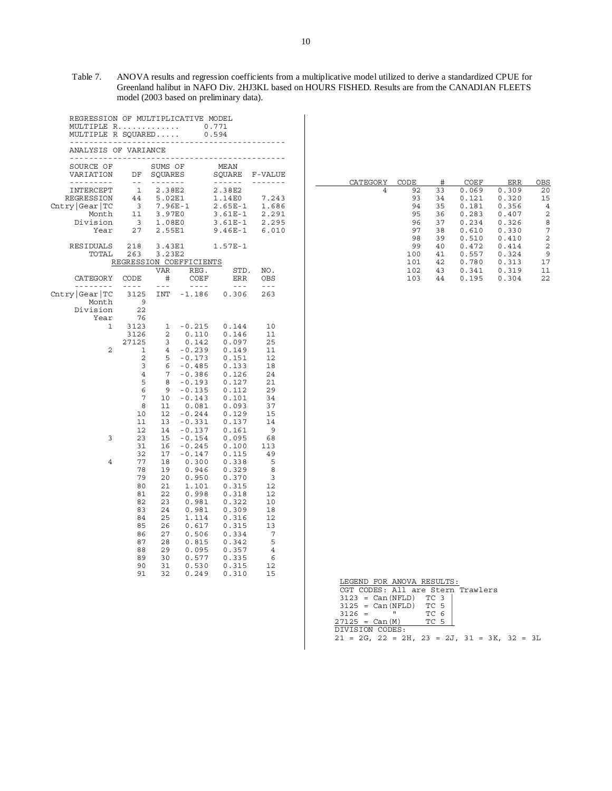Table 7. ANOVA results and regression coefficients from a multiplicative model utilized to derive a standardized CPUE for Greenland halibut in NAFO Div. 2HJ3KL based on HOURS FISHED. Results are from the CANADIAN FLEETS model (2003 based on preliminary data).

| REGRESSION OF MULTIPLICATIVE MODEL<br>MULTIPLE R<br>MULTIPLE R SOUARED<br>_______________ |                                                     |                                           | 22222<br>-------           | 0.771<br>0.594                             |                         |
|-------------------------------------------------------------------------------------------|-----------------------------------------------------|-------------------------------------------|----------------------------|--------------------------------------------|-------------------------|
| ANALYSIS OF VARIANCE<br>-----------                                                       |                                                     |                                           |                            |                                            |                         |
| SOURCE OF<br>VARIATION<br>-------                                                         | DF<br>$\sim$ $-$                                    | SUMS OF<br>SOUARES<br>-------             |                            | MEAN<br>SOUARE                             | F-VALUE                 |
| INTERCEPT<br><b>REGRESSION</b><br>Chtry Gear TC<br>Month                                  | $\mathbf{1}$<br>44<br>$\overline{\mathbf{3}}$<br>11 | 2.38E2<br>5.02E1<br>$7.96E - 1$<br>3.97E0 |                            | 2.38E2<br>1.14E0<br>$2.65E-1$<br>$3.61E-1$ | 7.243<br>1.686<br>2.291 |
| Division                                                                                  | $\overline{\mathbf{3}}$                             | 1.08E0                                    |                            | $3.61E-1$                                  | 2.295                   |
| Year                                                                                      | 27                                                  | 2.55E1                                    |                            | $9.46E-1$                                  | 6.010                   |
| RESIDUALS<br>TOTAL                                                                        | 218<br>263                                          | 3.43E1<br>3.23E2                          | REGRESSION COEFFICIENTS    | $1.57E-1$                                  |                         |
| CATEGORY                                                                                  | CODE                                                | VAR<br>#                                  | REG.<br>COEF               | STD.<br>ERR                                | NO.<br>OBS              |
| .<br>Chtry Gear TC<br>Month<br>Division                                                   | $- - - -$<br>3125<br>9<br>22                        | $  -$<br>INT                              | $\omega = \omega = \omega$ | $  -$<br>$-1.186$ 0.306                    | $- - -$<br>263          |
| Year<br>1                                                                                 | 76<br>3123<br>3126<br>27125                         | 1<br>$\overline{2}$<br>3                  | $-0.215$<br>0.110<br>0.142 | 0.144<br>0.146<br>0.097                    | 10<br>11<br>25          |
| 2                                                                                         | 1                                                   | 4                                         | $-0.239$                   | 0.149                                      | 11                      |
|                                                                                           | 2                                                   | 5                                         | $-0.173$                   | 0.151                                      | 12                      |
|                                                                                           | 3                                                   | 6                                         | $-0.485$                   | 0.133                                      | 18                      |
|                                                                                           | 4                                                   | 7                                         | $-0.386$                   | 0.126                                      | 24                      |
|                                                                                           | 5                                                   | 8                                         | $-0.193$                   | 0.127                                      | 21                      |
|                                                                                           | 6                                                   | 9                                         | $-0.135$                   | 0.112                                      | 29                      |
|                                                                                           | 7                                                   | 10                                        | $-0.143$                   | 0.101                                      | 34                      |
|                                                                                           | 8                                                   | 11                                        | 0.081                      | 0.093                                      | 37                      |
|                                                                                           | 10                                                  | 12                                        | $-0.244$                   | 0.129                                      | 15                      |
|                                                                                           | 11                                                  | 13                                        | $-0.331$                   | 0.137                                      | 14                      |
| 3                                                                                         | 12                                                  | 14                                        | $-0.137$                   | 0.161                                      | 9                       |
|                                                                                           | 23                                                  | 15                                        | $-0.154$                   | 0.095                                      | 68                      |
|                                                                                           | 31                                                  | 16                                        | $-0.245$                   | 0.100                                      | 113                     |
|                                                                                           | 32                                                  | 17                                        | $-0.147$                   | 0.115                                      | 49                      |
| $\overline{4}$                                                                            | 77                                                  | 18                                        | 0.300                      | 0.338                                      | 5                       |
|                                                                                           | 78                                                  | 19                                        | 0.946                      | 0.329                                      | 8                       |
|                                                                                           | 79                                                  | 20                                        | 0.950                      | 0.370                                      | 3                       |
|                                                                                           | 80                                                  | 21                                        | 1.101                      | 0.315                                      | 12                      |
|                                                                                           | 81                                                  | 22                                        | 0.998                      | 0.318                                      | 12                      |
|                                                                                           | 82                                                  | 23                                        | 0.981                      | 0.322                                      | 10                      |
|                                                                                           | 83                                                  | 24                                        | 0.981                      | 0.309                                      | 18                      |
|                                                                                           | 84                                                  | 25                                        | 1.114                      | 0.316                                      | 12                      |
|                                                                                           | 85                                                  | 26                                        | 0.617                      | 0.315                                      | 13                      |
|                                                                                           | 86                                                  | 27                                        | 0.506                      | 0.334                                      | 7                       |
|                                                                                           | 87                                                  | 28                                        | 0.815                      | 0.342                                      | 5                       |
|                                                                                           | 88                                                  | 29                                        | 0.095                      | 0.357                                      | $\,4$                   |
|                                                                                           | 89                                                  | 30                                        | 0.577                      | 0.335                                      | 6                       |
|                                                                                           | 90                                                  | 31                                        | 0.530                      | 0.315                                      | 12                      |
|                                                                                           | 91                                                  | 32                                        | 0.249                      | 0.310                                      | 15                      |

| CATEGORY | CODE | #  | COEF  | ERR   | OBS |
|----------|------|----|-------|-------|-----|
| 4        | 92   | 33 | 0.069 | 0.309 | 20  |
|          | 93   | 34 | 0.121 | 0.320 | 15  |
|          | 94   | 35 | 0.181 | 0.356 | 4   |
|          | 95   | 36 | 0.283 | 0.407 | 2   |
|          | 96   | 37 | 0.234 | 0.326 | 8   |
|          | 97   | 38 | 0.610 | 0.330 | 7   |
|          | 98   | 39 | 0.510 | 0.410 | 2   |
|          | 99   | 40 | 0.472 | 0.414 | 2   |
|          | 100  | 41 | 0.557 | 0.324 | 9   |
|          | 101  | 42 | 0.780 | 0.313 | 17  |
|          | 102  | 43 | 0.341 | 0.319 | 11  |
|          | 103  | 44 | 0.195 | 0.304 | 22  |

|                                                           |  | LEGEND FOR ANOVA RESULTS:         |  |      |  |  |  |  |
|-----------------------------------------------------------|--|-----------------------------------|--|------|--|--|--|--|
|                                                           |  | CGT CODES: All are Stern Trawlers |  |      |  |  |  |  |
|                                                           |  | $3123 = Can(NFLD) TC 3$           |  |      |  |  |  |  |
|                                                           |  | $3125 = Can(NFLD) TC 5$           |  |      |  |  |  |  |
| $3126 =$                                                  |  |                                   |  | TC 6 |  |  |  |  |
| $27125 = Can (M)$                                         |  |                                   |  | TC 5 |  |  |  |  |
| DIVISION CODES:                                           |  |                                   |  |      |  |  |  |  |
| $21 = 2G$ , $22 = 2H$ , $23 = 2J$ , $31 = 3K$ , $32 = 3L$ |  |                                   |  |      |  |  |  |  |
|                                                           |  |                                   |  |      |  |  |  |  |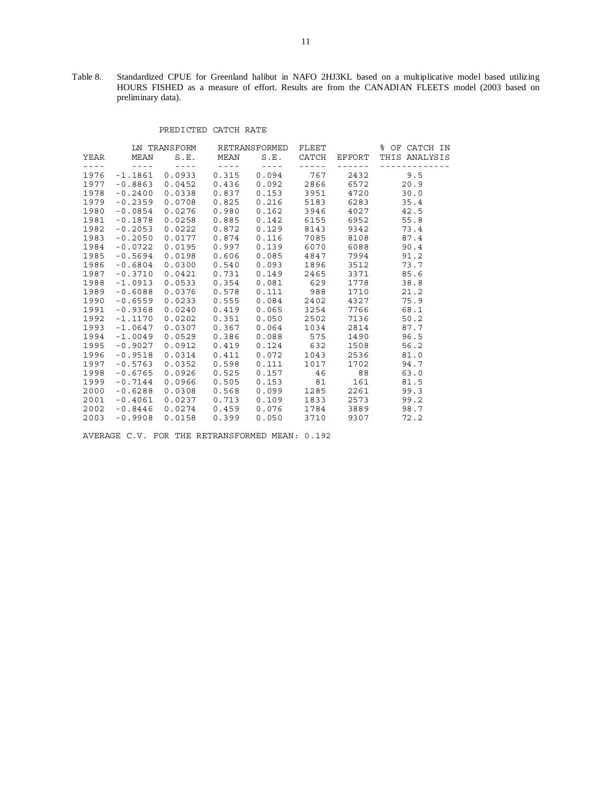Table 8. Standardized CPUE for Greenland halibut in NAFO 2HJ3KL based on a multiplicative model based utilizing HOURS FISHED as a measure of effort. Results are from the CANADIAN FLEETS model (2003 based on preliminary data).

#### PREDICTED CATCH RATE

|      |             |                  | LN TRANSFORM RETRANSFORMED |              | FLEET         |        | % OF CATCH IN |  |
|------|-------------|------------------|----------------------------|--------------|---------------|--------|---------------|--|
| YEAR | MEAN        | S.E.             | MEAN                       | S.E.         | CATCH         | EFFORT | THIS ANALYSIS |  |
| ---- | $- - - - -$ | $- - - - -$      | $- - - - -$                | $- - - - -$  | $- - - - - -$ |        | ---------     |  |
| 1976 | $-1.1861$   | 0.0933           | 0.315                      | 0.094        | 767           | 2432   | 9.5           |  |
| 1977 | $-0.8863$   | 0.0452           | 0.436                      | 0.092        | 2866          | 6572   | 20.9          |  |
| 1978 | $-0.2400$   | 0.0338           | 0.837                      | 0.153        | 3951          | 4720   | 30.0          |  |
| 1979 | $-0.2359$   | $0.0708$ 0.825   |                            | $0.216$ 5183 |               | 6283   | 35.4          |  |
| 1980 | $-0.0854$   | 0.0276           | 0.980                      | 0.162        | 3946          | 4027   | 42.5          |  |
| 1981 | $-0.1878$   | 0.0258           | 0.885                      | 0.142        | 6155          | 6952   | 55.8          |  |
| 1982 | $-0.2053$   | 0.0222           | 0.872                      | 0.129        | 8143          | 9342   | 73.4          |  |
| 1983 | $-0.2050$   | $0.0177$ 0.874   |                            | 0.116        | 7085          | 8108   | 87.4          |  |
| 1984 | $-0.0722$   | 0.0195           | 0.997                      | 0.139        | 6070          | 6088   | 90.4          |  |
| 1985 | $-0.5694$   | 0.0198           | 0.606                      | 0.085        | 4847          | 7994   | 91.2          |  |
| 1986 | $-0.6804$   | 0.0300           | 0.540                      | 0.093        | 1896          | 3512   | 73.7          |  |
| 1987 | $-0.3710$   | 0.0421           | 0.731                      | 0.149        | 2465          | 3371   | 85.6          |  |
| 1988 | $-1.0913$   | $0.0533$ $0.354$ |                            | $0.081$ 629  |               | 1778   | 38.8          |  |
| 1989 | $-0.6088$   | $0.0376$ 0.578   |                            | $0.111$ 988  |               | 1710   | 21.2          |  |
| 1990 | $-0.6559$   | 0.0233           | 0.555                      | 0.084        | 2402          | 4327   | 75.9          |  |
| 1991 | $-0.9368$   | 0.0240           | 0.419                      | 0.065        | 3254          | 7766   | 68.1          |  |
| 1992 | $-1.1170$   | 0.0202           | 0.351                      | 0.050        | 2502          | 7136   | 50.2          |  |
| 1993 | $-1.0647$   | $0.0307$ 0.367   |                            | 0.064        | 1034          | 2814   | 87.7          |  |
| 1994 | $-1.0049$   | $0.0529$ 0.386   |                            | 0.088        | 575           | 1490   | 96.5          |  |
| 1995 | $-0.9027$   | 0.0912           | 0.419                      | $0.124$ 632  |               | 1508   | 56.2          |  |
| 1996 | $-0.9518$   | 0.0314           | 0.411                      | 0.072        | 1043          | 2536   | 81.0          |  |
| 1997 | $-0.5763$   | 0.0352           | 0.598                      | 0.111        | 1017          | 1702   | 94.7          |  |
| 1998 | $-0.6765$   | 0.0926           | 0.525                      | $0.157$ 46   |               | 88     | 63.0          |  |
| 1999 | $-0.7144$   | 0.0966           | 0.505                      | 0.153        | 81            | 161    | 81.5          |  |
| 2000 | $-0.6288$   | 0.0308           | 0.568                      | 0.099        | 1285          | 2261   | 99.3          |  |
| 2001 | $-0.4061$   | 0.0237           | 0.713                      | 0.109        | 1833          | 2573   | 99.2          |  |
| 2002 | $-0.8446$   | $0.0274$ 0.459   |                            | 0.076        | 1784          | 3889   | 98.7          |  |
| 2003 | $-0.9908$   | 0.0158           | 0.399                      | 0.050        | 3710          | 9307   | 72.2          |  |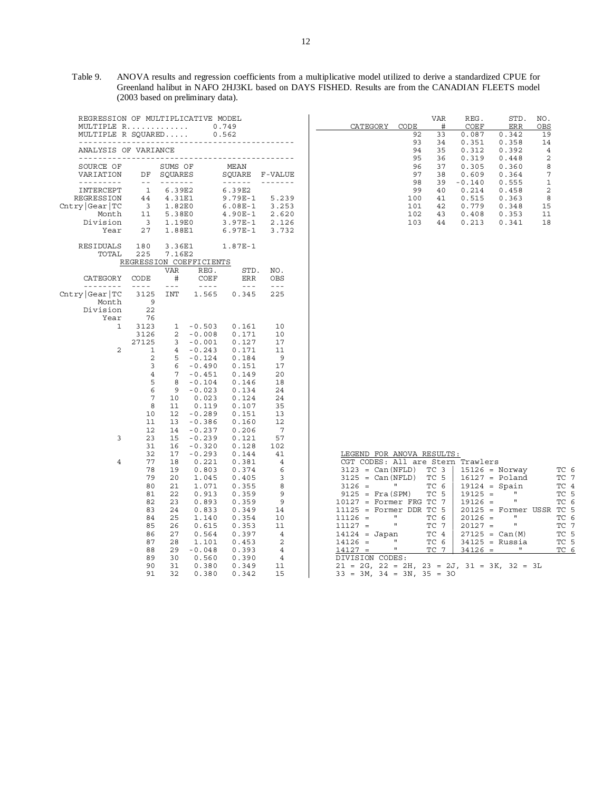Table 9. ANOVA results and regression coefficients from a multiplicative model utilized to derive a standardized CPUE for Greenland halibut in NAFO 2HJ3KL based on DAYS FISHED. Results are from the CANADIAN FLEETS model (2003 based on preliminary data).

| REGRESSION OF MULTIPLICATIVE MODEL<br>MULTIPLE R<br>0.749<br>MULTIPLE R SOUARED<br>0.562                      |                                                                                                                                                                                                                                                                                                                                                                                                                                                                                        |                                                                             |                                              |                                                                         |                                              |  |  |
|---------------------------------------------------------------------------------------------------------------|----------------------------------------------------------------------------------------------------------------------------------------------------------------------------------------------------------------------------------------------------------------------------------------------------------------------------------------------------------------------------------------------------------------------------------------------------------------------------------------|-----------------------------------------------------------------------------|----------------------------------------------|-------------------------------------------------------------------------|----------------------------------------------|--|--|
| ANALYSIS OF VARIANCE                                                                                          |                                                                                                                                                                                                                                                                                                                                                                                                                                                                                        |                                                                             |                                              |                                                                         |                                              |  |  |
| SOURCE OF<br>VARIATION                                                                                        | DF                                                                                                                                                                                                                                                                                                                                                                                                                                                                                     | SUMS OF<br>SOUARES                                                          |                                              | MEAN<br>SOUARE                                                          | F-VALUE                                      |  |  |
| -------<br>INTERCEPT<br>REGRESSION<br>$\texttt{Chtry} \texttt{Gear} \texttt{TC}$<br>Month<br>Division<br>Year | $\frac{1}{2} \frac{1}{2} \frac{1}{2} \frac{1}{2} \frac{1}{2} \frac{1}{2} \frac{1}{2} \frac{1}{2} \frac{1}{2} \frac{1}{2} \frac{1}{2} \frac{1}{2} \frac{1}{2} \frac{1}{2} \frac{1}{2} \frac{1}{2} \frac{1}{2} \frac{1}{2} \frac{1}{2} \frac{1}{2} \frac{1}{2} \frac{1}{2} \frac{1}{2} \frac{1}{2} \frac{1}{2} \frac{1}{2} \frac{1}{2} \frac{1}{2} \frac{1}{2} \frac{1}{2} \frac{1}{2} \frac{$<br>$\mathbf 1$<br>$\begin{array}{c} 44 \\ 3 \end{array}$<br>$\overline{\mathbf{3}}$<br>27 | -------<br>6.39E2<br>4.31E1<br>1.82E0<br>$11 \t 5.38E0$<br>1.19E0<br>1.88E1 |                                              | 6.39E2<br>9.79E-1<br>$6.08E-1$<br>$4.90E-1$<br>3.97E-1<br>6.97E-1 3.732 | 5.239<br>3.253<br>2.620<br>2.126             |  |  |
| RESIDUALS 180<br>TOTAL                                                                                        | 225                                                                                                                                                                                                                                                                                                                                                                                                                                                                                    | 3.36E1<br>7.16E2                                                            |                                              | 1.87E-1                                                                 |                                              |  |  |
|                                                                                                               |                                                                                                                                                                                                                                                                                                                                                                                                                                                                                        |                                                                             | REGRESSION COEFFICIENTS                      |                                                                         |                                              |  |  |
| CATEGORY<br>---------                                                                                         | CODE<br>$\omega = \omega = -1$                                                                                                                                                                                                                                                                                                                                                                                                                                                         | VAR<br>$+$<br>$\omega = \omega$                                             | REG.<br>COEF<br>$\sim$ $   -$                | STD.<br>ERR<br>$\sim$ $\sim$ $\sim$                                     | NO.<br>OBS<br>$\omega = \omega$              |  |  |
| $\texttt{Chtry} \texttt{Gear} \texttt{TC} $<br>Month                                                          | 3125<br>$\overline{9}$                                                                                                                                                                                                                                                                                                                                                                                                                                                                 |                                                                             |                                              | INT 1.565 0.345                                                         | 225                                          |  |  |
| Division<br>Year<br>1                                                                                         | 22<br>76<br>3123                                                                                                                                                                                                                                                                                                                                                                                                                                                                       | $\mathbf{1}$                                                                | $-0.503$                                     | 0.161                                                                   | 10                                           |  |  |
| 2                                                                                                             | 3126<br>27125<br>1                                                                                                                                                                                                                                                                                                                                                                                                                                                                     | $\mathbf{2}$<br>3<br>$\overline{4}$                                         | $-0.008$<br>$-0.001$<br>$-0.243$             | 0.171<br>0.127<br>0.171                                                 | 10<br>17<br>11                               |  |  |
|                                                                                                               | $\overline{a}$<br>$\overline{3}$<br>$\overline{4}$<br>5                                                                                                                                                                                                                                                                                                                                                                                                                                | 5<br>6<br>7                                                                 | $-0.124$<br>$-0.490$<br>$-0.451$<br>$-0.104$ | 0.184<br>0.151<br>0.149                                                 | - 9<br>17<br>20                              |  |  |
|                                                                                                               | 6<br>7<br>8                                                                                                                                                                                                                                                                                                                                                                                                                                                                            | 8<br>9<br>10 <sup>1</sup><br>11                                             | $-0.023$<br>0.023<br>0.119                   | 0.146<br>0.134<br>0.124<br>0.107                                        | 18<br>24<br>24<br>35                         |  |  |
|                                                                                                               | 10<br>11<br>12                                                                                                                                                                                                                                                                                                                                                                                                                                                                         | 12<br>13<br>14                                                              | $-0.289$<br>$-0.386$<br>$-0.237$             | 0.151<br>0.160<br>0.206                                                 | 13<br>12<br>7                                |  |  |
| 3                                                                                                             | 23<br>31<br>32                                                                                                                                                                                                                                                                                                                                                                                                                                                                         | 15<br>16<br>17 <sub>1</sub>                                                 | $-0.239$<br>$-0.320$<br>$-0.293$             | 0.121<br>0.128<br>0.144                                                 | 57<br>102<br>41                              |  |  |
| $\overline{4}$                                                                                                | 77<br>78<br>79                                                                                                                                                                                                                                                                                                                                                                                                                                                                         | 18<br>19<br>20                                                              | 0.221<br>0.803<br>1.045                      | 0.381<br>0.374<br>0.405                                                 | $\overline{4}$<br>6<br>3                     |  |  |
|                                                                                                               | 80<br>81<br>82                                                                                                                                                                                                                                                                                                                                                                                                                                                                         | 21<br>22<br>23                                                              | 1.071<br>0.913<br>0.893                      | 0.355<br>0.359<br>0.359                                                 | 8<br>9<br>9                                  |  |  |
|                                                                                                               | 83<br>84                                                                                                                                                                                                                                                                                                                                                                                                                                                                               | 24<br>25                                                                    | 0.833<br>1.140                               | 0.349<br>0.354                                                          | 14<br>10<br>11                               |  |  |
|                                                                                                               | 85<br>86<br>87                                                                                                                                                                                                                                                                                                                                                                                                                                                                         | 26<br>27<br>28                                                              | 0.615<br>0.564<br>1.101                      | 0.353<br>0.397<br>0.453                                                 | $\overline{4}$<br>$\overline{2}$             |  |  |
|                                                                                                               | 88<br>89<br>90<br>91                                                                                                                                                                                                                                                                                                                                                                                                                                                                   | 30<br>31<br>32                                                              | $29 - 0.048$<br>0.560<br>0.380<br>0.380      | 0.393<br>0.390<br>0.349<br>0.342                                        | $\overline{4}$<br>$\overline{4}$<br>11<br>15 |  |  |

| CATEGORY | CODE | <b>VAR</b><br># | REG.<br>COEF | STD.<br>ERR | NO.<br>OBS |
|----------|------|-----------------|--------------|-------------|------------|
|          | 92   | 33              | 0.087        | 0.342       | 19         |
|          | 93   | 34              | 0.351        | 0.358       | 14         |
|          | 94   | 35              | 0.312        | 0.392       | 4          |
|          | 95   | 36              | 0.319        | 0.448       | 2          |
|          | 96   | 37              | 0.305        | 0.360       | 8          |
|          | 97   | 38              | 0.609        | 0.364       | 7          |
|          | 98   | 39              | $-0.140$     | 0.555       | 1          |
|          | 99   | 40              | 0.214        | 0.458       | 2          |
|          | 100  | 41              | 0.515        | 0.363       | 8          |
|          | 101  | 42              | 0.779        | 0.348       | 15         |
|          | 102  | 43              | 0.408        | 0.353       | 11         |
|          | 103  | 44              | 0.213        | 0.341       | 18         |

| LEGEND FOR ANOVA RESULTS:                                 |                                      |  |  |  |  |  |  |
|-----------------------------------------------------------|--------------------------------------|--|--|--|--|--|--|
| CGT CODES: All are Stern Trawlers                         |                                      |  |  |  |  |  |  |
| $3123 = Can(NFLD) TC 3$                                   | TC 6<br>15126 = Norway               |  |  |  |  |  |  |
| $3125 = Can(NFLD) TC 5$                                   | $16127 =$ Poland<br>TC 7             |  |  |  |  |  |  |
| $3126 = "TC6 $                                            | TC 4<br>$19124 = Spain$              |  |  |  |  |  |  |
| $9125 = \text{Fra(SPM)} \quad \text{TC} 5$                | $19125 =$<br>H <sub>11</sub><br>TC 5 |  |  |  |  |  |  |
| $10127 =$ Former FRG TC 7                                 | $19126 = "$<br>TC 6                  |  |  |  |  |  |  |
| $11125 =$ Former DDR TC 5                                 | TC 5<br>$20125 =$ Former USSR        |  |  |  |  |  |  |
| $11126 = "$<br>TC <sub>6</sub>                            | $20126 =$ "<br>TC 6                  |  |  |  |  |  |  |
| $11127 = "$<br>TC 7                                       | $20127 =$ "<br>TC 7                  |  |  |  |  |  |  |
| $14124 = Japan$ TC 4   27125 = Can(M) TC 5                |                                      |  |  |  |  |  |  |
| <b>H</b> and<br>TC 6<br>$14126 =$                         | $34125$ = Russia TC 5                |  |  |  |  |  |  |
| п<br>$14127 =$<br>TC 7                                    | $34126 =$<br>$\mathbf{u}$<br>TC 6    |  |  |  |  |  |  |
| DIVISION CODES:                                           |                                      |  |  |  |  |  |  |
| $21 = 2G$ , $22 = 2H$ , $23 = 2J$ , $31 = 3K$ , $32 = 3L$ |                                      |  |  |  |  |  |  |
| $33 = 3M$ , $34 = 3N$ , $35 = 30$                         |                                      |  |  |  |  |  |  |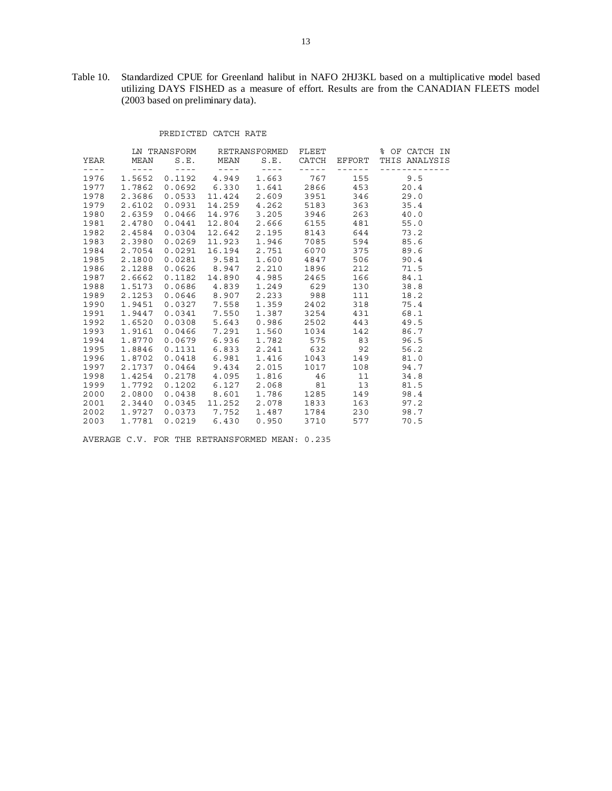Table 10. Standardized CPUE for Greenland halibut in NAFO 2HJ3KL based on a multiplicative model based utilizing DAYS FISHED as a measure of effort. Results are from the CANADIAN FLEETS model (2003 based on preliminary data).

## PREDICTED CATCH RATE

|                                                                                                                                                       |             |                                |                            | LN TRANSFORM RETRANSFORMED FLEET                                       |                                                                                                                                                                                                                                                                                                                                                                                                                                                                            |                                                                                                          | % OF CATCH IN                                                     |
|-------------------------------------------------------------------------------------------------------------------------------------------------------|-------------|--------------------------------|----------------------------|------------------------------------------------------------------------|----------------------------------------------------------------------------------------------------------------------------------------------------------------------------------------------------------------------------------------------------------------------------------------------------------------------------------------------------------------------------------------------------------------------------------------------------------------------------|----------------------------------------------------------------------------------------------------------|-------------------------------------------------------------------|
|                                                                                                                                                       |             |                                |                            |                                                                        |                                                                                                                                                                                                                                                                                                                                                                                                                                                                            |                                                                                                          | YEAR MEAN S.E. MEAN S.E. CATCH EFFORT THIS ANALYSIS               |
| $\frac{1}{2} \left( \frac{1}{2} \left( \frac{1}{2} \right) + \frac{1}{2} \left( \frac{1}{2} \right) + \frac{1}{2} \left( \frac{1}{2} \right) \right)$ |             | $\sim$ 2000 $\sim$ 2000 $\sim$ | $\alpha = \alpha = \alpha$ | $\label{eq:2.1} \mathcal{L} = \mathcal{L} + \mathcal{L} = \mathcal{L}$ | $\frac{1}{2} \left( \frac{1}{2} \right) \left( \frac{1}{2} \right) \left( \frac{1}{2} \right) \left( \frac{1}{2} \right) \left( \frac{1}{2} \right) \left( \frac{1}{2} \right) \left( \frac{1}{2} \right) \left( \frac{1}{2} \right) \left( \frac{1}{2} \right) \left( \frac{1}{2} \right) \left( \frac{1}{2} \right) \left( \frac{1}{2} \right) \left( \frac{1}{2} \right) \left( \frac{1}{2} \right) \left( \frac{1}{2} \right) \left( \frac{1}{2} \right) \left( \frac$ | $\begin{array}{cccccccccccccc} \cdots & \cdots & \cdots & \cdots & \cdots & \cdots & \cdots \end{array}$ | -----------                                                       |
| 1976                                                                                                                                                  | 1.5652      |                                | $0.1192$ 4.949             |                                                                        |                                                                                                                                                                                                                                                                                                                                                                                                                                                                            |                                                                                                          | 1.663 767 155 9.5                                                 |
| 1977                                                                                                                                                  | 1.7862      |                                | $0.0692$ 6.330             |                                                                        |                                                                                                                                                                                                                                                                                                                                                                                                                                                                            |                                                                                                          | $1.641$ 2866 453 20.4                                             |
|                                                                                                                                                       | 1978 2.3686 |                                | $0.0533$ $11.424$          |                                                                        |                                                                                                                                                                                                                                                                                                                                                                                                                                                                            |                                                                                                          | 2.609 3951 346 29.0                                               |
|                                                                                                                                                       | 1979 2.6102 | 0.0931                         |                            | 14.259  4.262  5183  363                                               |                                                                                                                                                                                                                                                                                                                                                                                                                                                                            |                                                                                                          | 35.4                                                              |
| 1980                                                                                                                                                  | 2.6359      |                                | 0.0466 14.976              | 3.205 3946 263                                                         |                                                                                                                                                                                                                                                                                                                                                                                                                                                                            |                                                                                                          | 40.0                                                              |
| 1981                                                                                                                                                  | 2.4780      | 0.0441                         | 12.804                     |                                                                        |                                                                                                                                                                                                                                                                                                                                                                                                                                                                            | 2.666 6155 481                                                                                           | 55.0                                                              |
|                                                                                                                                                       | 1982 2.4584 | 0.0304                         | 12.642                     |                                                                        |                                                                                                                                                                                                                                                                                                                                                                                                                                                                            |                                                                                                          | 2.195 8143 644 73.2                                               |
|                                                                                                                                                       | 1983 2.3980 |                                | $0.0269$ 11.923            |                                                                        |                                                                                                                                                                                                                                                                                                                                                                                                                                                                            |                                                                                                          | 1.946 7085 594 85.6                                               |
|                                                                                                                                                       | 1984 2.7054 |                                |                            |                                                                        |                                                                                                                                                                                                                                                                                                                                                                                                                                                                            |                                                                                                          | $0.0291$ 16.194 2.751 6070 375 89.6                               |
| 1985                                                                                                                                                  | 2.1800      |                                | $0.0281$ $9.581$           |                                                                        |                                                                                                                                                                                                                                                                                                                                                                                                                                                                            | 1.600 4847 506                                                                                           | 90.4                                                              |
| 1986                                                                                                                                                  | 2.1288      |                                | $0.0626$ 8.947             |                                                                        |                                                                                                                                                                                                                                                                                                                                                                                                                                                                            |                                                                                                          | 2.210 1896 212 71.5                                               |
| 1987                                                                                                                                                  | 2.6662      |                                |                            |                                                                        |                                                                                                                                                                                                                                                                                                                                                                                                                                                                            |                                                                                                          | $0.1182 \quad 14.890 \quad 4.985 \quad 2465 \quad 166 \quad 84.1$ |
|                                                                                                                                                       | 1988 1.5173 |                                | $0.0686$ 4.839             |                                                                        |                                                                                                                                                                                                                                                                                                                                                                                                                                                                            |                                                                                                          | 1.249 629 130 38.8                                                |
|                                                                                                                                                       | 1989 2.1253 |                                |                            | $0.0646$ 8.907 2.233 988 111                                           |                                                                                                                                                                                                                                                                                                                                                                                                                                                                            |                                                                                                          | 18.2                                                              |
|                                                                                                                                                       | 1990 1.9451 |                                | $0.0327$ 7.558             |                                                                        |                                                                                                                                                                                                                                                                                                                                                                                                                                                                            |                                                                                                          | 1.359 2402 318 75.4                                               |
| 1991                                                                                                                                                  | 1.9447      |                                | $0.0341$ 7.550             |                                                                        |                                                                                                                                                                                                                                                                                                                                                                                                                                                                            | 1.387 3254 431                                                                                           | 68.1                                                              |
|                                                                                                                                                       | 1992 1.6520 |                                | $0.0308$ 5.643             |                                                                        |                                                                                                                                                                                                                                                                                                                                                                                                                                                                            | 0.986 2502 443                                                                                           | 49.5                                                              |
|                                                                                                                                                       | 1993 1.9161 |                                | $0.0466$ 7.291             |                                                                        |                                                                                                                                                                                                                                                                                                                                                                                                                                                                            |                                                                                                          | 1.560 1034 142 86.7                                               |
|                                                                                                                                                       | 1994 1.8770 |                                | $0.0679$ 6.936             |                                                                        |                                                                                                                                                                                                                                                                                                                                                                                                                                                                            |                                                                                                          | 1.782 575 83 96.5                                                 |
|                                                                                                                                                       | 1995 1.8846 |                                | $0.1131$ $6.833$           |                                                                        |                                                                                                                                                                                                                                                                                                                                                                                                                                                                            | 2.241 632 92                                                                                             | 56.2                                                              |
| 1996                                                                                                                                                  | 1.8702      |                                | $0.0418$ $6.981$           |                                                                        |                                                                                                                                                                                                                                                                                                                                                                                                                                                                            | 1.416 1043 149                                                                                           | 81.0                                                              |
|                                                                                                                                                       | 1997 2.1737 |                                | $0.0464$ 9.434             |                                                                        |                                                                                                                                                                                                                                                                                                                                                                                                                                                                            |                                                                                                          | $2.015$ $1017$ $108$ $94.7$                                       |
|                                                                                                                                                       | 1998 1.4254 |                                | $0.2178$ 4.095             |                                                                        |                                                                                                                                                                                                                                                                                                                                                                                                                                                                            |                                                                                                          | 1.816 46 11 34.8                                                  |
|                                                                                                                                                       | 1999 1.7792 |                                |                            | $0.1202$ $6.127$ $2.068$ $81$ $13$                                     |                                                                                                                                                                                                                                                                                                                                                                                                                                                                            |                                                                                                          | 81.5                                                              |
| 2000                                                                                                                                                  | 2.0800      |                                | $0.0438$ $8.601$           |                                                                        |                                                                                                                                                                                                                                                                                                                                                                                                                                                                            | 1.786 1285 149                                                                                           | 98.4                                                              |
| 2001                                                                                                                                                  | 2.3440      |                                | $0.0345$ 11.252            | 2.078                                                                  |                                                                                                                                                                                                                                                                                                                                                                                                                                                                            | 1833 163                                                                                                 | 97.2                                                              |
|                                                                                                                                                       |             |                                |                            |                                                                        |                                                                                                                                                                                                                                                                                                                                                                                                                                                                            |                                                                                                          | 2002 1.9727 0.0373 7.752 1.487 1784 230 98.7                      |
| 2003                                                                                                                                                  | 1.7781      |                                |                            |                                                                        |                                                                                                                                                                                                                                                                                                                                                                                                                                                                            |                                                                                                          | 0.0219 6.430 0.950 3710 577 70.5                                  |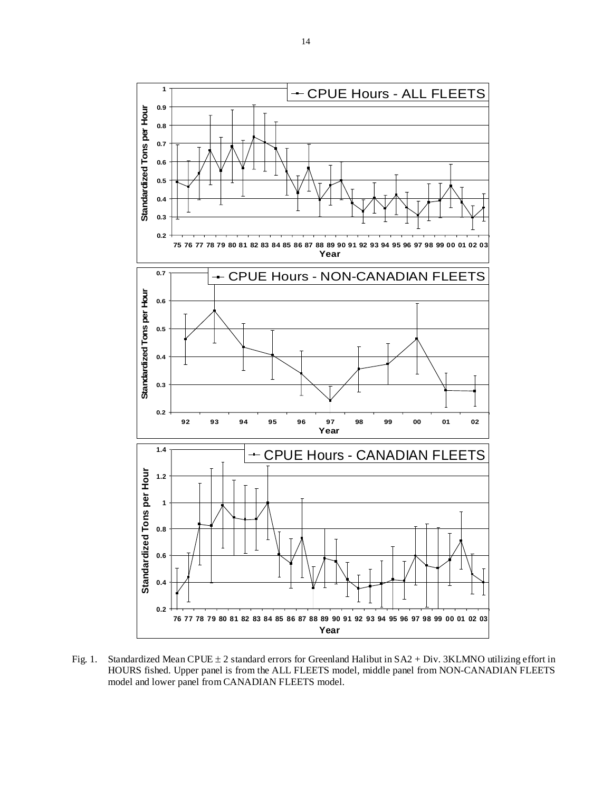

Fig. 1. Standardized Mean CPUE ± 2 standard errors for Greenland Halibut in SA2 + Div. 3KLMNO utilizing effort in HOURS fished. Upper panel is from the ALL FLEETS model, middle panel from NON-CANADIAN FLEETS model and lower panel from CANADIAN FLEETS model.